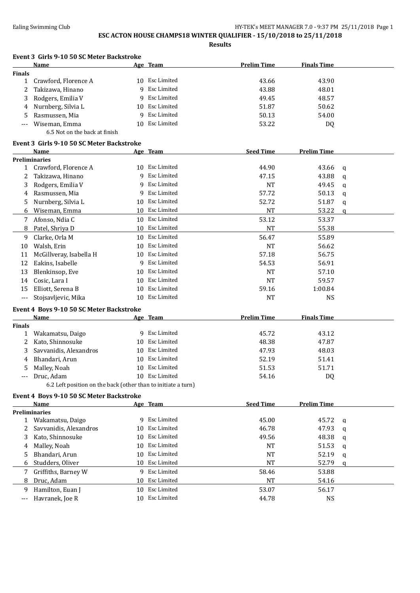|               | Event 3 Girls 9-10 50 SC Meter Backstroke                     |    |                    |                    |                    |              |
|---------------|---------------------------------------------------------------|----|--------------------|--------------------|--------------------|--------------|
|               | Name                                                          |    | Age Team           | <b>Prelim Time</b> | <b>Finals Time</b> |              |
| <b>Finals</b> |                                                               |    |                    |                    |                    |              |
| $\mathbf{1}$  | Crawford, Florence A                                          |    | 10 Esc Limited     | 43.66              | 43.90              |              |
| 2             | Takizawa, Hinano                                              | q  | Esc Limited        | 43.88              | 48.01              |              |
| 3             | Rodgers, Emilia V                                             | 9  | <b>Esc Limited</b> | 49.45              | 48.57              |              |
| 4             | Nurnberg, Silvia L                                            | 10 | Esc Limited        | 51.87              | 50.62              |              |
| 5             | Rasmussen, Mia                                                | 9  | Esc Limited        | 50.13              | 54.00              |              |
| ---           | Wiseman, Emma                                                 | 10 | Esc Limited        | 53.22              | DQ                 |              |
|               | 6.5 Not on the back at finish                                 |    |                    |                    |                    |              |
|               | Event 3 Girls 9-10 50 SC Meter Backstroke                     |    |                    |                    |                    |              |
|               | Name                                                          |    | Age Team           | <b>Seed Time</b>   | <b>Prelim Time</b> |              |
|               | <b>Preliminaries</b>                                          |    |                    |                    |                    |              |
| $\mathbf{1}$  | Crawford, Florence A                                          |    | 10 Esc Limited     | 44.90              | 43.66              | q            |
| 2             | Takizawa, Hinano                                              |    | 9 Esc Limited      | 47.15              | 43.88              | q            |
| 3             | Rodgers, Emilia V                                             | 9  | Esc Limited        | <b>NT</b>          | 49.45              | q            |
| 4             | Rasmussen, Mia                                                | 9  | Esc Limited        | 57.72              | 50.13              | q            |
| 5             | Nurnberg, Silvia L                                            | 10 | Esc Limited        | 52.72              | 51.87              | q            |
| 6             | Wiseman, Emma                                                 |    | 10 Esc Limited     | <b>NT</b>          | 53.22              | $\mathbf{q}$ |
| 7             | Afonso, Ndia C                                                |    | 10 Esc Limited     | 53.12              | 53.37              |              |
| 8             | Patel, Shriya D                                               |    | 10 Esc Limited     | <b>NT</b>          | 55.38              |              |
| 9             | Clarke, Orla M                                                |    | 10 Esc Limited     | 56.47              | 55.89              |              |
| 10            | Walsh, Erin                                                   |    | 10 Esc Limited     | <b>NT</b>          | 56.62              |              |
| 11            | McGillveray, Isabella H                                       |    | 10 Esc Limited     | 57.18              | 56.75              |              |
| 12            | Eakins, Isabelle                                              | 9  | Esc Limited        | 54.53              | 56.91              |              |
| 13            | Blenkinsop, Eve                                               | 10 | Esc Limited        | <b>NT</b>          | 57.10              |              |
| 14            | Cosic, Lara I                                                 |    | 10 Esc Limited     | <b>NT</b>          | 59.57              |              |
| 15            | Elliott, Serena B                                             | 10 | Esc Limited        | 59.16              | 1:00.84            |              |
| ---           | Stojsavljevic, Mika                                           | 10 | Esc Limited        | <b>NT</b>          | <b>NS</b>          |              |
|               | Event 4 Boys 9-10 50 SC Meter Backstroke                      |    |                    |                    |                    |              |
|               | Name                                                          |    | Age Team           | <b>Prelim Time</b> | <b>Finals Time</b> |              |
| <b>Finals</b> |                                                               |    |                    |                    |                    |              |
| 1             | Wakamatsu, Daigo                                              |    | 9 Esc Limited      | 45.72              | 43.12              |              |
| 2             | Kato, Shinnosuke                                              | 10 | Esc Limited        | 48.38              | 47.87              |              |
| 3             | Savvanidis, Alexandros                                        | 10 | Esc Limited        | 47.93              | 48.03              |              |
| 4             | Bhandari, Arun                                                |    | 10 Esc Limited     | 52.19              | 51.41              |              |
|               | 5 Malley, Noah                                                |    | 10 Esc Limited     | 51.53              | 51.71              |              |
| ---           | Druc, Adam                                                    |    | 10 Esc Limited     | 54.16              | DQ                 |              |
|               | 6.2 Left position on the back (other than to initiate a turn) |    |                    |                    |                    |              |
|               | Event 4 Boys 9-10 50 SC Meter Backstroke                      |    |                    |                    |                    |              |
|               | Name                                                          |    | Age Team           | <b>Seed Time</b>   | <b>Prelim Time</b> |              |
|               | <b>Preliminaries</b>                                          |    |                    |                    |                    |              |
| $\mathbf{1}$  | Wakamatsu, Daigo                                              |    | 9 Esc Limited      | 45.00              | 45.72              | q            |
| 2             | Savvanidis, Alexandros                                        | 10 | Esc Limited        | 46.78              | 47.93              | q            |
| 3             | Kato, Shinnosuke                                              | 10 | Esc Limited        | 49.56              | 48.38              | q            |
| 4             | Malley, Noah                                                  | 10 | Esc Limited        | NT                 | 51.53              | q            |
| 5             | Bhandari, Arun                                                | 10 | Esc Limited        | <b>NT</b>          | 52.19              | q            |
| 6             | Studders, Oliver                                              |    | 10 Esc Limited     | <b>NT</b>          | 52.79              | a            |
| 7             | Griffiths, Barney W                                           |    | 9 Esc Limited      | 58.46              | 53.88              |              |
| 8             | Druc, Adam                                                    | 10 | Esc Limited        | NT                 | 54.16              |              |
| 9             | Hamilton, Euan J                                              |    | 10 Esc Limited     | 53.07              | 56.17              |              |
| $---$         | Havranek, Joe R                                               |    | 10 Esc Limited     | 44.78              | <b>NS</b>          |              |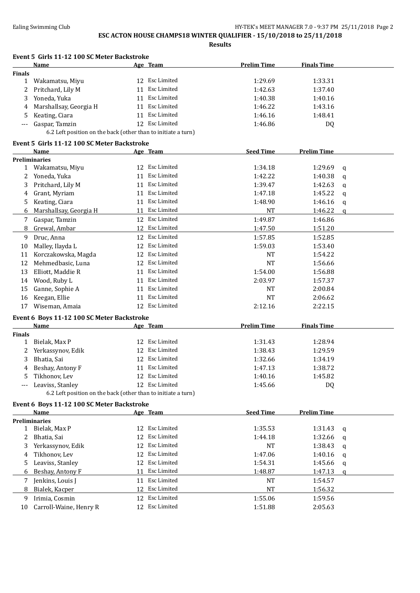|               | Event 5 Girls 11-12 100 SC Meter Backstroke                   |    |                                  |                    |                    |              |
|---------------|---------------------------------------------------------------|----|----------------------------------|--------------------|--------------------|--------------|
|               | Name                                                          |    | Age Team                         | <b>Prelim Time</b> | <b>Finals Time</b> |              |
| <b>Finals</b> |                                                               |    |                                  |                    |                    |              |
| $\mathbf{1}$  | Wakamatsu, Miyu                                               |    | 12 Esc Limited                   | 1:29.69            | 1:33.31            |              |
| 2             | Pritchard, Lily M                                             |    | 11 Esc Limited                   | 1:42.63            | 1:37.40            |              |
| 3             | Yoneda, Yuka                                                  |    | 11 Esc Limited                   | 1:40.38            | 1:40.16            |              |
| 4             | Marshallsay, Georgia H                                        |    | 11 Esc Limited                   | 1:46.22            | 1:43.16            |              |
| 5             | Keating, Ciara                                                |    | 11 Esc Limited                   | 1:46.16            | 1:48.41            |              |
| ---           | Gaspar, Tamzin                                                |    | 12 Esc Limited                   | 1:46.86            | DQ                 |              |
|               | 6.2 Left position on the back (other than to initiate a turn) |    |                                  |                    |                    |              |
|               | Event 5 Girls 11-12 100 SC Meter Backstroke                   |    |                                  |                    |                    |              |
|               | Name                                                          |    | Age Team                         | <b>Seed Time</b>   | <b>Prelim Time</b> |              |
|               | <b>Preliminaries</b>                                          |    |                                  |                    |                    |              |
| 1             | Wakamatsu, Miyu                                               |    | 12 Esc Limited                   | 1:34.18            | 1:29.69            | q            |
| 2             | Yoneda, Yuka                                                  | 11 | Esc Limited                      | 1:42.22            | 1:40.38            | q            |
| 3             | Pritchard, Lily M                                             | 11 | Esc Limited                      | 1:39.47            | 1:42.63            | q            |
| 4             | Grant, Myriam                                                 | 11 | Esc Limited                      | 1:47.18            | 1:45.22            | q            |
| 5             | Keating, Ciara                                                |    | 11 Esc Limited                   | 1:48.90            | 1:46.16            | $\mathbf q$  |
| 6             | Marshallsay, Georgia H                                        |    | 11 Esc Limited                   | NT                 | 1:46.22            | $\mathbf{q}$ |
| 7             | Gaspar, Tamzin                                                |    | 12 Esc Limited                   | 1:49.87            | 1:46.86            |              |
| 8             | Grewal, Ambar                                                 |    | 12 Esc Limited                   | 1:47.50            | 1:51.20            |              |
| 9             | Druc, Anna                                                    |    | 12 Esc Limited                   | 1:57.85            | 1:52.85            |              |
| 10            | Malley, Ilayda L                                              | 12 | Esc Limited                      | 1:59.03            | 1:53.40            |              |
| 11            | Korczakowska, Magda                                           | 12 | Esc Limited                      | <b>NT</b>          | 1:54.22            |              |
| 12            | Mehmedbasic, Luna                                             |    | 12 Esc Limited                   | <b>NT</b>          | 1:56.66            |              |
| 13            | Elliott, Maddie R                                             | 11 | Esc Limited                      | 1:54.00            | 1:56.88            |              |
| 14            | Wood, Ruby L                                                  |    | 11 Esc Limited                   | 2:03.97            | 1:57.37            |              |
| 15            | Ganne, Sophie A                                               |    | 11 Esc Limited                   | NT                 | 2:00.84            |              |
|               | Keegan, Ellie                                                 |    | 11 Esc Limited                   | <b>NT</b>          |                    |              |
| 16            |                                                               |    | 12 Esc Limited                   |                    | 2:06.62            |              |
| 17            | Wiseman, Amaia                                                |    |                                  | 2:12.16            | 2:22.15            |              |
|               | Event 6 Boys 11-12 100 SC Meter Backstroke                    |    |                                  |                    |                    |              |
|               | <b>Name</b>                                                   |    | Age Team                         | <b>Prelim Time</b> | <b>Finals Time</b> |              |
| <b>Finals</b> |                                                               |    |                                  |                    |                    |              |
| $\mathbf{1}$  | Bielak, Max P                                                 |    | 12 Esc Limited<br>12 Esc Limited | 1:31.43            | 1:28.94            |              |
| 2             | Yerkassynov, Edik                                             |    |                                  | 1:38.43            | 1:29.59            |              |
| 3             | Bhatia, Sai                                                   |    | 12 Esc Limited                   | 1:32.66            | 1:34.19            |              |
| 4             | Beshay, Antony F                                              |    | 11 Esc Limited                   | 1:47.13            | 1:38.72            |              |
| 5             | Tikhonov, Lev                                                 |    | 12 Esc Limited                   | 1:40.16            | 1:45.82            |              |
| ---           | Leaviss, Stanley                                              |    | 12 Esc Limited                   | 1:45.66            | DQ                 |              |
|               | 6.2 Left position on the back (other than to initiate a turn) |    |                                  |                    |                    |              |
|               | Event 6 Boys 11-12 100 SC Meter Backstroke                    |    |                                  |                    |                    |              |
|               | Name                                                          |    | Age Team                         | <b>Seed Time</b>   | <b>Prelim Time</b> |              |
|               | <b>Preliminaries</b>                                          |    |                                  |                    |                    |              |
|               | 1 Bielak, Max P                                               |    | 12 Esc Limited                   | 1:35.53            | 1:31.43            | q            |
| 2             | Bhatia, Sai                                                   |    | 12 Esc Limited                   | 1:44.18            | 1:32.66            | q            |
| 3             | Yerkassynov, Edik                                             |    | 12 Esc Limited                   | NT                 | 1:38.43            | q            |
| 4             | Tikhonov, Lev                                                 |    | 12 Esc Limited                   | 1:47.06            | 1:40.16            | q            |
| 5             | Leaviss, Stanley                                              |    | 12 Esc Limited                   | 1:54.31            | 1:45.66            | q            |
| 6             | Beshay, Antony F                                              |    | 11 Esc Limited                   | 1:48.87            | 1:47.13            | q            |
| 7             | Jenkins, Louis J                                              |    | 11 Esc Limited                   | NT                 | 1:54.57            |              |
| 8             | Bialek, Kacper                                                |    | 12 Esc Limited                   | <b>NT</b>          | 1:56.32            |              |
| 9             | Irimia, Cosmin                                                |    | 12 Esc Limited                   | 1:55.06            | 1:59.56            |              |
| 10            | Carroll-Waine, Henry R                                        |    | 12 Esc Limited                   | 1:51.88            | 2:05.63            |              |
|               |                                                               |    |                                  |                    |                    |              |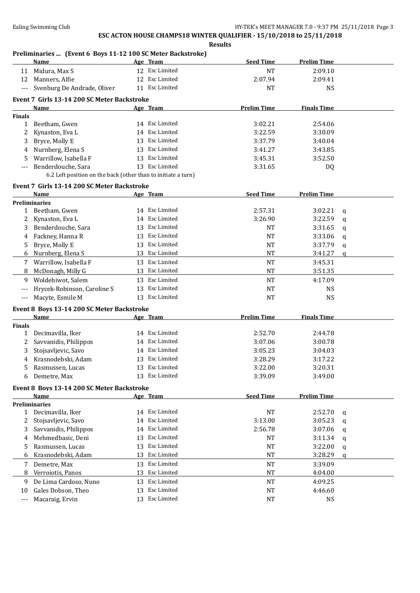**Results**

### **Preliminaries ... (Event 6 Boys 11-12 100 SC Meter Backstroke)**

|               | Name                                                          |    | Age Team       | <b>Seed Time</b>   | <b>Prelim Time</b> |             |
|---------------|---------------------------------------------------------------|----|----------------|--------------------|--------------------|-------------|
|               | 11 Midura, Max S                                              |    | 12 Esc Limited | <b>NT</b>          | 2:09.10            |             |
| 12            | Manners, Alfie                                                |    | 12 Esc Limited | 2:07.94            | 2:09.41            |             |
|               | Svenburg De Andrade, Oliver                                   |    | 11 Esc Limited | <b>NT</b>          | <b>NS</b>          |             |
|               |                                                               |    |                |                    |                    |             |
|               | Event 7 Girls 13-14 200 SC Meter Backstroke                   |    |                |                    |                    |             |
| <b>Finals</b> | <b>Name</b>                                                   |    | Age Team       | <b>Prelim Time</b> | <b>Finals Time</b> |             |
| 1             | Beetham, Gwen                                                 |    | 14 Esc Limited | 3:02.21            | 2:54.06            |             |
| 2             | Kynaston, Eva L                                               |    | 14 Esc Limited | 3:22.59            | 3:30.09            |             |
| 3             | Bryce, Molly E                                                |    | 13 Esc Limited | 3:37.79            | 3:40.04            |             |
| 4             | Nurnberg, Elena S                                             |    | 13 Esc Limited | 3:41.27            | 3:43.85            |             |
| 5             | Warrillow, Isabella F                                         |    | 13 Esc Limited | 3:45.31            | 3:52.50            |             |
|               | Benderdouche, Sara                                            |    | 13 Esc Limited |                    |                    |             |
| $---$         | 6.2 Left position on the back (other than to initiate a turn) |    |                | 3:31.65            | DQ                 |             |
|               |                                                               |    |                |                    |                    |             |
|               | Event 7 Girls 13-14 200 SC Meter Backstroke                   |    |                |                    |                    |             |
|               | Name                                                          |    | Age Team       | <b>Seed Time</b>   | <b>Prelim Time</b> |             |
|               | <b>Preliminaries</b>                                          |    |                |                    |                    |             |
|               | 1 Beetham, Gwen                                               |    | 14 Esc Limited | 2:57.31            | 3:02.21            | q           |
| 2             | Kynaston, Eva L                                               |    | 14 Esc Limited | 3:26.90            | 3:22.59            | $\mathbf q$ |
| 3             | Benderdouche, Sara                                            |    | 13 Esc Limited | NT                 | 3:31.65            | q           |
| 4             | Fackney, Hanna R                                              |    | 13 Esc Limited | NT                 | 3:33.06            | q           |
| 5             | Bryce, Molly E                                                |    | 13 Esc Limited | NT                 | 3:37.79            | q           |
| 6             | Nurnberg, Elena S                                             |    | 13 Esc Limited | NT                 | 3:41.27            | q           |
| 7             | Warrillow, Isabella F                                         |    | 13 Esc Limited | <b>NT</b>          | 3:45.31            |             |
| 8             | McDonagh, Milly G                                             |    | 13 Esc Limited | <b>NT</b>          | 3:51.35            |             |
| 9             | Woldehiwot, Salem                                             |    | 13 Esc Limited | <b>NT</b>          | 4:17.09            |             |
| ---           | Hrycek-Robinson, Caroline S                                   |    | 13 Esc Limited | <b>NT</b>          | <b>NS</b>          |             |
| $---$         | Macyte, Esmile M                                              |    | 13 Esc Limited | <b>NT</b>          | <b>NS</b>          |             |
|               | Event 8 Boys 13-14 200 SC Meter Backstroke                    |    |                |                    |                    |             |
|               | Name                                                          |    | Age Team       | <b>Prelim Time</b> | <b>Finals Time</b> |             |
| <b>Finals</b> |                                                               |    |                |                    |                    |             |
| $\mathbf{1}$  | Decimavilla, Iker                                             |    | 14 Esc Limited | 2:52.70            | 2:44.78            |             |
| 2             | Savvanidis, Philippos                                         |    | 14 Esc Limited | 3:07.06            | 3:00.78            |             |
| 3             | Stojsavljevic, Savo                                           |    | 14 Esc Limited | 3:05.23            | 3:04.03            |             |
| 4             | Krasnodebski, Adam                                            |    | 13 Esc Limited | 3:28.29            | 3:17.22            |             |
| 5             | Rasmussen, Lucas                                              |    | 13 Esc Limited | 3:22.00            | 3:20.31            |             |
| 6             | Demetre, Max                                                  |    | 13 Esc Limited | 3:39.09            | 3:49.00            |             |
|               | Event 8 Boys 13-14 200 SC Meter Backstroke                    |    |                |                    |                    |             |
|               | Name                                                          |    | Age Team       | <b>Seed Time</b>   | <b>Prelim Time</b> |             |
|               | <b>Preliminaries</b>                                          |    |                |                    |                    |             |
| $\mathbf{1}$  | Decimavilla, Iker                                             |    | 14 Esc Limited | NT                 | 2:52.70            | q           |
| 2             | Stojsavljevic, Savo                                           |    | 14 Esc Limited | 3:13.00            | 3:05.23            | $\mathbf q$ |
| 3             | Savvanidis, Philippos                                         | 14 | Esc Limited    | 2:56.78            | 3:07.06            | q           |
| 4             | Mehmedbasic, Deni                                             | 13 | Esc Limited    | NT                 | 3:11.34            |             |
| 5             | Rasmussen, Lucas                                              | 13 | Esc Limited    | NT                 | 3:22.00            | q           |
| 6             | Krasnodebski, Adam                                            | 13 | Esc Limited    | $\rm{NT}$          | 3:28.29            | q           |
|               |                                                               |    | 13 Esc Limited |                    |                    | q           |
| 7             | Demetre, Max                                                  |    |                | $\rm{NT}$          | 3:39.09            |             |
| 8             | Verroiotis, Panos                                             |    | 13 Esc Limited | NT                 | 4:04.00            |             |
| 9             | De Lima Cardoso, Nuno                                         |    | 13 Esc Limited | <b>NT</b>          | 4:09.25            |             |
| 10            | Gales Dobson, Theo                                            | 13 | Esc Limited    | <b>NT</b>          | 4:46.60            |             |
| ---           | Macaraig, Ervin                                               |    | 13 Esc Limited | <b>NT</b>          | <b>NS</b>          |             |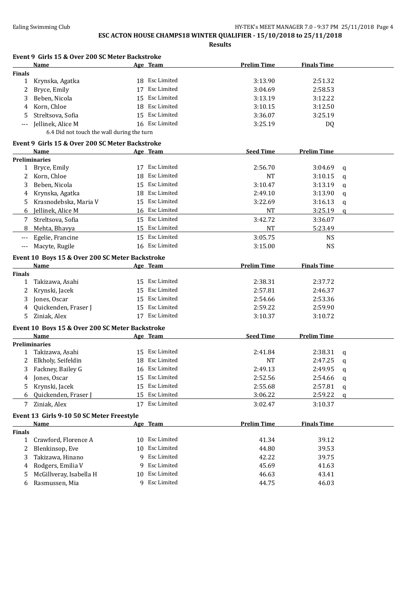**Results**

|               | Event 9 Girls 15 & Over 200 SC Meter Backstroke |    |                |                    |                    |              |
|---------------|-------------------------------------------------|----|----------------|--------------------|--------------------|--------------|
|               | Name                                            |    | Age Team       | <b>Prelim Time</b> | <b>Finals Time</b> |              |
| <b>Finals</b> |                                                 |    |                |                    |                    |              |
| 1             | Krynska, Agatka                                 |    | 18 Esc Limited | 3:13.90            | 2:51.32            |              |
| 2             | Bryce, Emily                                    | 17 | Esc Limited    | 3:04.69            | 2:58.53            |              |
| 3             | Beben, Nicola                                   | 15 | Esc Limited    | 3:13.19            | 3:12.22            |              |
| 4             | Korn, Chloe                                     |    | 18 Esc Limited | 3:10.15            | 3:12.50            |              |
| 5             | Streltsova, Sofia                               |    | 15 Esc Limited | 3:36.07            | 3:25.19            |              |
| ---           | Jellinek, Alice M                               |    | 16 Esc Limited | 3:25.19            | DQ                 |              |
|               | 6.4 Did not touch the wall during the turn      |    |                |                    |                    |              |
|               | Event 9 Girls 15 & Over 200 SC Meter Backstroke |    |                |                    |                    |              |
|               | Name                                            |    | Age Team       | <b>Seed Time</b>   | <b>Prelim Time</b> |              |
|               | <b>Preliminaries</b>                            |    |                |                    |                    |              |
| 1             | Bryce, Emily                                    |    | 17 Esc Limited | 2:56.70            | 3:04.69            | q            |
| 2             | Korn, Chloe                                     |    | 18 Esc Limited | NT                 | 3:10.15            | q            |
| 3             | Beben, Nicola                                   |    | 15 Esc Limited | 3:10.47            | 3:13.19            | q            |
| 4             | Krynska, Agatka                                 |    | 18 Esc Limited | 2:49.10            | 3:13.90            | q            |
| 5             | Krasnodebska, Maria V                           |    | 15 Esc Limited | 3:22.69            | 3:16.13            | q            |
| 6             | Jellinek, Alice M                               |    | 16 Esc Limited | NT                 | 3:25.19            | $\mathbf{q}$ |
| 7             | Streltsova, Sofia                               |    | 15 Esc Limited | 3:42.72            | 3:36.07            |              |
| 8             | Mehta, Bhavya                                   |    | 15 Esc Limited | <b>NT</b>          | 5:23.49            |              |
| $---$         | Egelie, Francine                                |    | 15 Esc Limited | 3:05.75            | <b>NS</b>          |              |
| $---$         | Macyte, Rugile                                  |    | 16 Esc Limited | 3:15.00            | <b>NS</b>          |              |
|               |                                                 |    |                |                    |                    |              |
|               | Event 10 Boys 15 & Over 200 SC Meter Backstroke |    |                |                    |                    |              |
|               | Name                                            |    | Age Team       | <b>Prelim Time</b> | <b>Finals Time</b> |              |
| <b>Finals</b> |                                                 |    | 15 Esc Limited |                    |                    |              |
| $\mathbf{1}$  | Takizawa, Asahi                                 |    | 15 Esc Limited | 2:38.31            | 2:37.72            |              |
| 2             | Krynski, Jacek                                  |    | 15 Esc Limited | 2:57.81            | 2:46.37            |              |
| 3             | Jones, Oscar                                    |    |                | 2:54.66            | 2:53.36            |              |
| 4             | Quickenden, Fraser J                            |    | 15 Esc Limited | 2:59.22            | 2:59.90            |              |
| 5             | Ziniak, Alex                                    |    | 17 Esc Limited | 3:10.37            | 3:10.72            |              |
|               | Event 10 Boys 15 & Over 200 SC Meter Backstroke |    |                |                    |                    |              |
|               | Name                                            |    | Age Team       | <b>Seed Time</b>   | <b>Prelim Time</b> |              |
|               | <b>Preliminaries</b>                            |    |                |                    |                    |              |
|               | 1 Takizawa, Asahi                               |    | 15 Esc Limited | 2:41.84            | 2:38.31            | q            |
|               | Elkholy, Seifeldin                              |    | 18 Esc Limited | <b>NT</b>          | 2:47.25            | q            |
|               | 3 Fackney, Bailey G                             |    | 16 Esc Limited | 2:49.13            | 2:49.95            | q            |
| 4             | Jones, Oscar                                    |    | 15 Esc Limited | 2:52.56            | 2:54.66            | q            |
| 5             | Krynski, Jacek                                  |    | 15 Esc Limited | 2:55.68            | 2:57.81            | q            |
| 6             | Quickenden, Fraser J                            | 15 | Esc Limited    | 3:06.22            | 2:59.22            | a            |
| 7             | Ziniak, Alex                                    |    | 17 Esc Limited | 3:02.47            | 3:10.37            |              |
|               | Event 13 Girls 9-10 50 SC Meter Freestyle       |    |                |                    |                    |              |
|               | <b>Name</b>                                     |    | Age Team       | <b>Prelim Time</b> | <b>Finals Time</b> |              |
| <b>Finals</b> |                                                 |    |                |                    |                    |              |
| $\mathbf{1}$  | Crawford, Florence A                            | 10 | Esc Limited    | 41.34              | 39.12              |              |
| 2             | Blenkinsop, Eve                                 | 10 | Esc Limited    | 44.80              | 39.53              |              |
| 3             | Takizawa, Hinano                                |    | 9 Esc Limited  | 42.22              | 39.75              |              |
| 4             | Rodgers, Emilia V                               |    | 9 Esc Limited  | 45.69              | 41.63              |              |
| 5             | McGillveray, Isabella H                         |    | 10 Esc Limited | 46.63              | 43.41              |              |

6 Rasmussen, Mia 9 Esc Limited 44.75 46.03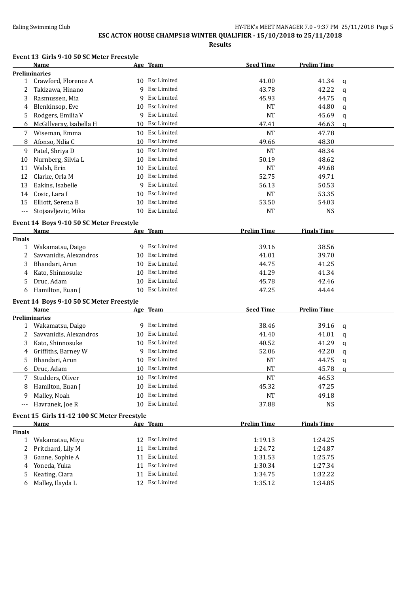### Ealing Swimming Club **HY-TEK's MEET MANAGER 7.0 - 9:37 PM 25/11/2018** Page 5

## **ESC ACTON HOUSE CHAMPS18 WINTER QUALIFIER - 15/10/2018 to 25/11/2018**

**Results**

#### **Event 13 Girls 9-10 50 SC Meter Freestyle**

|                | <b>Name</b>                                 |    | Age Team           | <b>Seed Time</b>   | <b>Prelim Time</b> |              |
|----------------|---------------------------------------------|----|--------------------|--------------------|--------------------|--------------|
|                | <b>Preliminaries</b>                        |    |                    |                    |                    |              |
| $\mathbf{1}$   | Crawford, Florence A                        |    | 10 Esc Limited     | 41.00              | 41.34              | q            |
| 2              | Takizawa, Hinano                            | 9  | Esc Limited        | 43.78              | 42.22              | $\mathbf q$  |
| 3              | Rasmussen, Mia                              | 9  | <b>Esc Limited</b> | 45.93              | 44.75              | q            |
| 4              | Blenkinsop, Eve                             | 10 | Esc Limited        | <b>NT</b>          | 44.80              | q            |
| 5              | Rodgers, Emilia V                           | 9  | Esc Limited        | <b>NT</b>          | 45.69              | $\mathsf{q}$ |
| 6              | McGillveray, Isabella H                     | 10 | Esc Limited        | 47.41              | 46.63              | q            |
| 7              | Wiseman, Emma                               |    | 10 Esc Limited     | <b>NT</b>          | 47.78              |              |
| 8              | Afonso, Ndia C                              |    | 10 Esc Limited     | 49.66              | 48.30              |              |
| 9              | Patel, Shriya D                             |    | 10 Esc Limited     | <b>NT</b>          | 48.34              |              |
| 10             | Nurnberg, Silvia L                          | 10 | Esc Limited        | 50.19              | 48.62              |              |
| 11             | Walsh, Erin                                 | 10 | Esc Limited        | <b>NT</b>          | 49.68              |              |
| 12             | Clarke, Orla M                              | 10 | Esc Limited        | 52.75              | 49.71              |              |
| 13             | Eakins, Isabelle                            | 9  | Esc Limited        | 56.13              | 50.53              |              |
| 14             | Cosic, Lara I                               | 10 | Esc Limited        | <b>NT</b>          | 53.35              |              |
| 15             | Elliott, Serena B                           | 10 | Esc Limited        | 53.50              | 54.03              |              |
| $---$          | Stojsavljevic, Mika                         |    | 10 Esc Limited     | <b>NT</b>          | <b>NS</b>          |              |
|                | Event 14 Boys 9-10 50 SC Meter Freestyle    |    |                    |                    |                    |              |
|                | <b>Name</b>                                 |    | Age Team           | <b>Prelim Time</b> | <b>Finals Time</b> |              |
| <b>Finals</b>  |                                             |    |                    |                    |                    |              |
| $\mathbf{1}$   | Wakamatsu, Daigo                            | 9  | Esc Limited        | 39.16              | 38.56              |              |
| 2              | Savvanidis, Alexandros                      | 10 | Esc Limited        | 41.01              | 39.70              |              |
| 3              | Bhandari, Arun                              |    | 10 Esc Limited     | 44.75              | 41.25              |              |
| 4              | Kato, Shinnosuke                            |    | 10 Esc Limited     | 41.29              | 41.34              |              |
| 5              | Druc, Adam                                  |    | 10 Esc Limited     | 45.78              | 42.46              |              |
| 6              | Hamilton, Euan J                            | 10 | Esc Limited        | 47.25              | 44.44              |              |
|                | Event 14 Boys 9-10 50 SC Meter Freestyle    |    |                    |                    |                    |              |
|                | Name                                        |    | Age Team           | <b>Seed Time</b>   | <b>Prelim Time</b> |              |
|                | <b>Preliminaries</b>                        |    |                    |                    |                    |              |
| $\mathbf{1}$   | Wakamatsu, Daigo                            |    | 9 Esc Limited      | 38.46              | 39.16              | q            |
| 2              | Savvanidis, Alexandros                      | 10 | Esc Limited        | 41.40              | 41.01              | q            |
| 3              | Kato, Shinnosuke                            | 10 | Esc Limited        | 40.52              | 41.29              | q            |
| 4              | Griffiths, Barney W                         |    | 9 Esc Limited      | 52.06              | 42.20              | q            |
| 5              | Bhandari, Arun                              | 10 | Esc Limited        | <b>NT</b>          | 44.75              | $\mathbf q$  |
| 6              | Druc, Adam                                  |    | 10 Esc Limited     | <b>NT</b>          | 45.78              | $\mathbf q$  |
| 7 <sup>1</sup> | Studders, Oliver                            |    | 10 Esc Limited     | <b>NT</b>          | 46.53              |              |
| 8              | Hamilton, Euan J                            |    | 10 Esc Limited     | 45.32              | 47.25              |              |
| 9              | Malley, Noah                                |    | 10 Esc Limited     | <b>NT</b>          | 49.18              |              |
| $---$          | Havranek, Joe R                             |    | 10 Esc Limited     | 37.88              | <b>NS</b>          |              |
|                |                                             |    |                    |                    |                    |              |
|                | Event 15 Girls 11-12 100 SC Meter Freestyle |    |                    | <b>Prelim Time</b> | <b>Finals Time</b> |              |
| <b>Finals</b>  | Name                                        |    | Age Team           |                    |                    |              |
| $\mathbf{1}$   | Wakamatsu, Miyu                             |    | 12 Esc Limited     | 1:19.13            | 1:24.25            |              |
| 2              | Pritchard, Lily M                           |    | 11 Esc Limited     | 1:24.72            | 1:24.87            |              |
| 3              | Ganne, Sophie A                             | 11 | Esc Limited        | 1:31.53            | 1:25.75            |              |
| 4              | Yoneda, Yuka                                | 11 | Esc Limited        | 1:30.34            | 1:27.34            |              |
| 5              | Keating, Ciara                              | 11 | Esc Limited        | 1:34.75            | 1:32.22            |              |
| 6              | Malley, Ilayda L                            |    | 12 Esc Limited     | 1:35.12            | 1:34.85            |              |
|                |                                             |    |                    |                    |                    |              |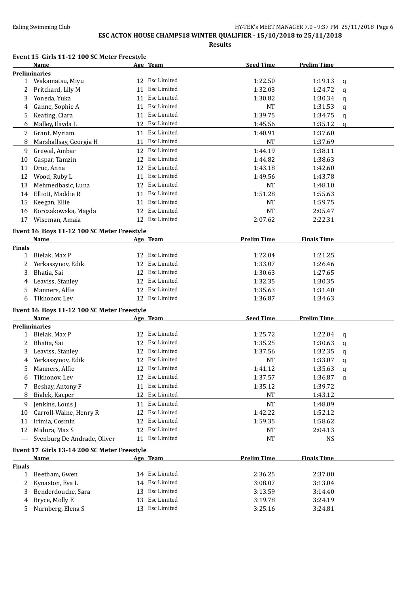### Ealing Swimming Club **HY-TEK's MEET MANAGER 7.0 - 9:37 PM 25/11/2018** Page 6

# **ESC ACTON HOUSE CHAMPS18 WINTER QUALIFIER - 15/10/2018 to 25/11/2018**

**Results**

### **Event 15 Girls 11-12 100 SC Meter Freestyle**

|               | <b>Name</b>                                 |    | Age Team       | <b>Seed Time</b>   | <b>Prelim Time</b> |             |
|---------------|---------------------------------------------|----|----------------|--------------------|--------------------|-------------|
|               | <b>Preliminaries</b>                        |    |                |                    |                    |             |
|               | 1 Wakamatsu, Miyu                           |    | 12 Esc Limited | 1:22.50            | 1:19.13            | $\mathbf q$ |
| 2             | Pritchard, Lily M                           |    | 11 Esc Limited | 1:32.03            | 1:24.72            | $\mathbf q$ |
| 3             | Yoneda, Yuka                                |    | 11 Esc Limited | 1:30.82            | 1:30.34            | $\mathbf q$ |
| 4             | Ganne, Sophie A                             |    | 11 Esc Limited | <b>NT</b>          | 1:31.53            | $\mathbf q$ |
| 5             | Keating, Ciara                              |    | 11 Esc Limited | 1:39.75            | 1:34.75            | $\mathbf q$ |
| 6             | Malley, Ilayda L                            |    | 12 Esc Limited | 1:45.56            | 1:35.12            | a           |
| 7             | Grant, Myriam                               |    | 11 Esc Limited | 1:40.91            | 1:37.60            |             |
| 8             | Marshallsay, Georgia H                      |    | 11 Esc Limited | <b>NT</b>          | 1:37.69            |             |
| 9             | Grewal, Ambar                               |    | 12 Esc Limited | 1:44.19            | 1:38.11            |             |
| 10            | Gaspar, Tamzin                              | 12 | Esc Limited    | 1:44.82            | 1:38.63            |             |
| 11            | Druc, Anna                                  |    | 12 Esc Limited | 1:43.18            | 1:42.60            |             |
| 12            | Wood, Ruby L                                |    | 11 Esc Limited | 1:49.56            | 1:43.78            |             |
| 13            | Mehmedbasic, Luna                           |    | 12 Esc Limited | NT                 | 1:48.10            |             |
| 14            | Elliott, Maddie R                           |    | 11 Esc Limited | 1:51.28            | 1:55.63            |             |
| 15            | Keegan, Ellie                               |    | 11 Esc Limited | NT                 | 1:59.75            |             |
|               | Korczakowska, Magda                         |    | 12 Esc Limited | <b>NT</b>          | 2:05.47            |             |
| 16<br>17      | Wiseman, Amaia                              |    | 12 Esc Limited | 2:07.62            | 2:22.31            |             |
|               |                                             |    |                |                    |                    |             |
|               | Event 16 Boys 11-12 100 SC Meter Freestyle  |    |                |                    |                    |             |
|               | <b>Name</b>                                 |    | Age Team       | <b>Prelim Time</b> | <b>Finals Time</b> |             |
| <b>Finals</b> |                                             |    |                |                    |                    |             |
| $\mathbf{1}$  | Bielak, Max P                               |    | 12 Esc Limited | 1:22.04            | 1:21.25            |             |
| 2             | Yerkassynov, Edik                           |    | 12 Esc Limited | 1:33.07            | 1:26.46            |             |
| 3             | Bhatia, Sai                                 |    | 12 Esc Limited | 1:30.63            | 1:27.65            |             |
| 4             | Leaviss, Stanley                            |    | 12 Esc Limited | 1:32.35            | 1:30.35            |             |
| 5             | Manners, Alfie                              |    | 12 Esc Limited | 1:35.63            | 1:31.40            |             |
| 6             | Tikhonov, Lev                               |    | 12 Esc Limited | 1:36.87            | 1:34.63            |             |
|               | Event 16 Boys 11-12 100 SC Meter Freestyle  |    |                |                    |                    |             |
|               | Name                                        |    | Age Team       | <b>Seed Time</b>   | <b>Prelim Time</b> |             |
|               | <b>Preliminaries</b>                        |    |                |                    |                    |             |
| $\mathbf{1}$  | Bielak, Max P                               |    | 12 Esc Limited | 1:25.72            | 1:22.04            | q           |
| 2             | Bhatia, Sai                                 |    | 12 Esc Limited | 1:35.25            | 1:30.63            | q           |
| 3             | Leaviss, Stanley                            |    | 12 Esc Limited | 1:37.56            | 1:32.35            | q           |
| 4             | Yerkassynov, Edik                           |    | 12 Esc Limited | <b>NT</b>          | 1:33.07            | q           |
| 5             | Manners, Alfie                              |    | 12 Esc Limited | 1:41.12            | 1:35.63            | q           |
| 6             | Tikhonov, Lev                               |    | 12 Esc Limited | 1:37.57            | 1:36.87            | q           |
|               | 7 Beshay, Antony F                          |    | 11 Esc Limited | 1:35.12            | 1:39.72            |             |
| 8             | Bialek, Kacper                              |    | 12 Esc Limited | <b>NT</b>          | 1:43.12            |             |
| 9             | Jenkins, Louis J                            |    | 11 Esc Limited | <b>NT</b>          | 1:48.09            |             |
| 10            | Carroll-Waine, Henry R                      | 12 | Esc Limited    | 1:42.22            | 1:52.12            |             |
| 11            | Irimia, Cosmin                              | 12 | Esc Limited    | 1:59.35            | 1:58.62            |             |
| 12            | Midura, Max S                               | 12 | Esc Limited    | NT                 | 2:04.13            |             |
| ---           | Svenburg De Andrade, Oliver                 |    | 11 Esc Limited | <b>NT</b>          | <b>NS</b>          |             |
|               |                                             |    |                |                    |                    |             |
|               | Event 17 Girls 13-14 200 SC Meter Freestyle |    |                |                    |                    |             |
|               | Name                                        |    | Age Team       | <b>Prelim Time</b> | <b>Finals Time</b> |             |
| <b>Finals</b> |                                             |    |                |                    |                    |             |
| $\mathbf{1}$  | Beetham, Gwen                               |    | 14 Esc Limited | 2:36.25            | 2:37.00            |             |
| 2             | Kynaston, Eva L                             | 14 | Esc Limited    | 3:08.07            | 3:13.04            |             |
| 3             | Benderdouche, Sara                          | 13 | Esc Limited    | 3:13.59            | 3:14.40            |             |
| 4             | Bryce, Molly E                              | 13 | Esc Limited    | 3:19.78            | 3:24.19            |             |
| 5             | Nurnberg, Elena S                           | 13 | Esc Limited    | 3:25.16            | 3:24.81            |             |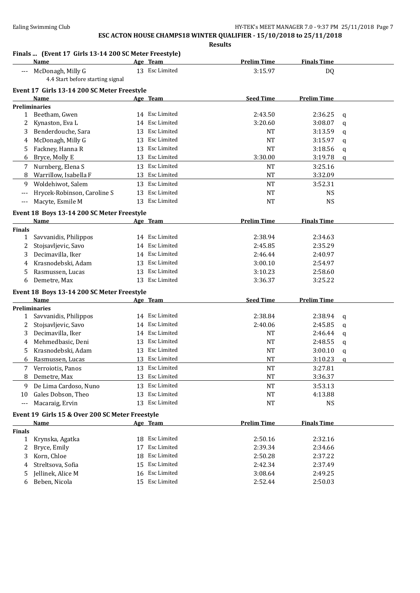**Results**

### **Finals ... (Event 17 Girls 13-14 200 SC Meter Freestyle)**

|               | $\mu$ . The state of $\mu$ is the state in the state of $\mu$<br>Name |    | Age Team       | <b>Prelim Time</b> | <b>Finals Time</b> |             |
|---------------|-----------------------------------------------------------------------|----|----------------|--------------------|--------------------|-------------|
| $\cdots$      | McDonagh, Milly G<br>4.4 Start before starting signal                 |    | 13 Esc Limited | 3:15.97            | DQ                 |             |
|               | Event 17 Girls 13-14 200 SC Meter Freestyle                           |    |                |                    |                    |             |
|               | Name                                                                  |    | Age Team       | <b>Seed Time</b>   | <b>Prelim Time</b> |             |
|               | <b>Preliminaries</b>                                                  |    |                |                    |                    |             |
|               | 1 Beetham, Gwen                                                       |    | 14 Esc Limited | 2:43.50            | 2:36.25            | q           |
| 2             | Kynaston, Eva L                                                       |    | 14 Esc Limited | 3:20.60            | 3:08.07            | q           |
| 3             | Benderdouche, Sara                                                    |    | 13 Esc Limited | <b>NT</b>          | 3:13.59            | q           |
| 4             | McDonagh, Milly G                                                     | 13 | Esc Limited    | NT                 | 3:15.97            | q           |
| 5.            | Fackney, Hanna R                                                      | 13 | Esc Limited    | NT                 | 3:18.56            | q           |
| 6             | Bryce, Molly E                                                        |    | 13 Esc Limited | 3:30.00            | 3:19.78            | q           |
| 7             | Nurnberg, Elena S                                                     |    | 13 Esc Limited | <b>NT</b>          | 3:25.16            |             |
| 8             | Warrillow, Isabella F                                                 |    | 13 Esc Limited | <b>NT</b>          | 3:32.09            |             |
| 9             | Woldehiwot, Salem                                                     |    | 13 Esc Limited | $\rm{NT}$          | 3:52.31            |             |
|               | Hrycek-Robinson, Caroline S                                           |    | 13 Esc Limited | <b>NT</b>          | <b>NS</b>          |             |
| $---$         | Macyte, Esmile M                                                      |    | 13 Esc Limited | <b>NT</b>          | <b>NS</b>          |             |
|               |                                                                       |    |                |                    |                    |             |
|               | Event 18 Boys 13-14 200 SC Meter Freestyle<br><b>Name</b>             |    | Age Team       | <b>Prelim Time</b> | <b>Finals Time</b> |             |
| <b>Finals</b> |                                                                       |    |                |                    |                    |             |
| $\mathbf{1}$  | Savvanidis, Philippos                                                 |    | 14 Esc Limited | 2:38.94            | 2:34.63            |             |
| 2             | Stojsavljevic, Savo                                                   |    | 14 Esc Limited | 2:45.85            | 2:35.29            |             |
| 3             | Decimavilla, Iker                                                     |    | 14 Esc Limited | 2:46.44            | 2:40.97            |             |
| 4             | Krasnodebski, Adam                                                    | 13 | Esc Limited    | 3:00.10            | 2:54.97            |             |
| 5             | Rasmussen, Lucas                                                      | 13 | Esc Limited    | 3:10.23            | 2:58.60            |             |
| 6             | Demetre, Max                                                          |    | 13 Esc Limited | 3:36.37            | 3:25.22            |             |
|               | Event 18 Boys 13-14 200 SC Meter Freestyle                            |    |                |                    |                    |             |
|               | Name                                                                  |    | Age Team       | <b>Seed Time</b>   | <b>Prelim Time</b> |             |
|               | <b>Preliminaries</b>                                                  |    |                |                    |                    |             |
| 1             | Savvanidis, Philippos                                                 |    | 14 Esc Limited | 2:38.84            | 2:38.94            | q           |
| 2             | Stojsavljevic, Savo                                                   |    | 14 Esc Limited | 2:40.06            | 2:45.85            | q           |
| 3             | Decimavilla, Iker                                                     |    | 14 Esc Limited | <b>NT</b>          | 2:46.44            | q           |
| 4             | Mehmedbasic, Deni                                                     |    | 13 Esc Limited | <b>NT</b>          | 2:48.55            | $\mathbf q$ |
| 5             | Krasnodebski, Adam                                                    |    | 13 Esc Limited | <b>NT</b>          | 3:00.10            | q           |
| 6             | Rasmussen, Lucas                                                      |    | 13 Esc Limited | <b>NT</b>          | 3:10.23            | $\alpha$    |
| 7             | Verroiotis, Panos                                                     |    | 13 Esc Limited | <b>NT</b>          | 3:27.81            |             |
| 8             | Demetre, Max                                                          |    | 13 Esc Limited | <b>NT</b>          | 3:36.37            |             |
| 9             | De Lima Cardoso, Nuno                                                 | 13 | Esc Limited    | $\rm{NT}$          | 3:53.13            |             |
| 10            | Gales Dobson, Theo                                                    | 13 | Esc Limited    | NT                 | 4:13.88            |             |
| $--$          | Macaraig, Ervin                                                       |    | 13 Esc Limited | NT                 | <b>NS</b>          |             |
|               | Event 19 Girls 15 & Over 200 SC Meter Freestyle                       |    |                |                    |                    |             |
|               | <b>Name</b>                                                           |    | Age Team       | <b>Prelim Time</b> | <b>Finals Time</b> |             |
| <b>Finals</b> |                                                                       |    |                |                    |                    |             |
| 1             | Krynska, Agatka                                                       |    | 18 Esc Limited | 2:50.16            | 2:32.16            |             |
| 2             | Bryce, Emily                                                          | 17 | Esc Limited    | 2:39.34            | 2:34.66            |             |
| 3             | Korn, Chloe                                                           | 18 | Esc Limited    | 2:50.28            | 2:37.22            |             |
| 4             | Streltsova, Sofia                                                     | 15 | Esc Limited    | 2:42.34            | 2:37.49            |             |
| 5             | Jellinek, Alice M                                                     |    | 16 Esc Limited | 3:08.64            | 2:49.25            |             |
| 6             | Beben, Nicola                                                         |    | 15 Esc Limited | 2:52.44            | 2:50.03            |             |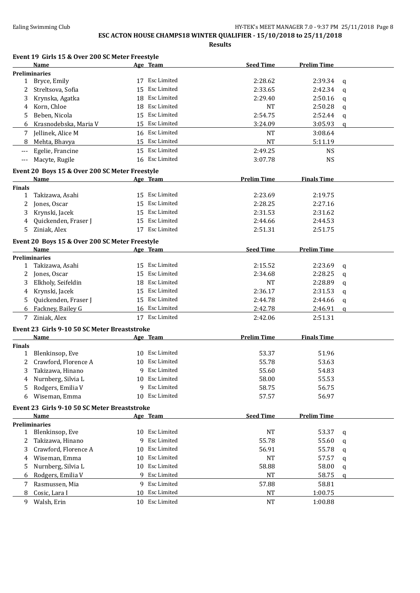## **ESC ACTON HOUSE CHAMPS18 WINTER QUALIFIER - 15/10/2018 to 25/11/2018**

**Results**

|                       |                                                                                            | Results                                                                                                                                                                                                                                                                                                                                                                                                                                                                                                                                                                                 |                    |                    |
|-----------------------|--------------------------------------------------------------------------------------------|-----------------------------------------------------------------------------------------------------------------------------------------------------------------------------------------------------------------------------------------------------------------------------------------------------------------------------------------------------------------------------------------------------------------------------------------------------------------------------------------------------------------------------------------------------------------------------------------|--------------------|--------------------|
|                       |                                                                                            |                                                                                                                                                                                                                                                                                                                                                                                                                                                                                                                                                                                         |                    |                    |
|                       |                                                                                            |                                                                                                                                                                                                                                                                                                                                                                                                                                                                                                                                                                                         |                    |                    |
|                       |                                                                                            | 2:28.62                                                                                                                                                                                                                                                                                                                                                                                                                                                                                                                                                                                 | 2:39.34            | q                  |
| Streltsova, Sofia     |                                                                                            | 2:33.65                                                                                                                                                                                                                                                                                                                                                                                                                                                                                                                                                                                 | 2:42.34            | q                  |
| Krynska, Agatka       | 18                                                                                         | 2:29.40                                                                                                                                                                                                                                                                                                                                                                                                                                                                                                                                                                                 | 2:50.16            | q                  |
| Korn, Chloe           |                                                                                            | <b>NT</b>                                                                                                                                                                                                                                                                                                                                                                                                                                                                                                                                                                               | 2:50.28            | q                  |
| Beben, Nicola         |                                                                                            | 2:54.75                                                                                                                                                                                                                                                                                                                                                                                                                                                                                                                                                                                 | 2:52.44            | q                  |
| Krasnodebska, Maria V |                                                                                            | 3:24.09                                                                                                                                                                                                                                                                                                                                                                                                                                                                                                                                                                                 | 3:05.93            | $\mathsf{q}$       |
| 7 Jellinek, Alice M   |                                                                                            | <b>NT</b>                                                                                                                                                                                                                                                                                                                                                                                                                                                                                                                                                                               | 3:08.64            |                    |
|                       |                                                                                            | <b>NT</b>                                                                                                                                                                                                                                                                                                                                                                                                                                                                                                                                                                               | 5:11.19            |                    |
|                       |                                                                                            | 2:49.25                                                                                                                                                                                                                                                                                                                                                                                                                                                                                                                                                                                 | <b>NS</b>          |                    |
| Macyte, Rugile        |                                                                                            | 3:07.78                                                                                                                                                                                                                                                                                                                                                                                                                                                                                                                                                                                 | <b>NS</b>          |                    |
|                       |                                                                                            |                                                                                                                                                                                                                                                                                                                                                                                                                                                                                                                                                                                         |                    |                    |
| <b>Name</b>           |                                                                                            | <b>Prelim Time</b>                                                                                                                                                                                                                                                                                                                                                                                                                                                                                                                                                                      | <b>Finals Time</b> |                    |
|                       |                                                                                            |                                                                                                                                                                                                                                                                                                                                                                                                                                                                                                                                                                                         |                    |                    |
| Takizawa, Asahi       |                                                                                            | 2:23.69                                                                                                                                                                                                                                                                                                                                                                                                                                                                                                                                                                                 | 2:19.75            |                    |
| Jones, Oscar          |                                                                                            | 2:28.25                                                                                                                                                                                                                                                                                                                                                                                                                                                                                                                                                                                 | 2:27.16            |                    |
| Krynski, Jacek        |                                                                                            | 2:31.53                                                                                                                                                                                                                                                                                                                                                                                                                                                                                                                                                                                 | 2:31.62            |                    |
| Quickenden, Fraser J  |                                                                                            | 2:44.66                                                                                                                                                                                                                                                                                                                                                                                                                                                                                                                                                                                 | 2:44.53            |                    |
| Ziniak, Alex          |                                                                                            | 2:51.31                                                                                                                                                                                                                                                                                                                                                                                                                                                                                                                                                                                 | 2:51.75            |                    |
|                       |                                                                                            |                                                                                                                                                                                                                                                                                                                                                                                                                                                                                                                                                                                         |                    |                    |
| Name                  |                                                                                            | <b>Seed Time</b>                                                                                                                                                                                                                                                                                                                                                                                                                                                                                                                                                                        | <b>Prelim Time</b> |                    |
| <b>Preliminaries</b>  |                                                                                            |                                                                                                                                                                                                                                                                                                                                                                                                                                                                                                                                                                                         |                    |                    |
| Takizawa, Asahi       |                                                                                            | 2:15.52                                                                                                                                                                                                                                                                                                                                                                                                                                                                                                                                                                                 | 2:23.69            | q                  |
| Jones, Oscar          | 15                                                                                         | 2:34.68                                                                                                                                                                                                                                                                                                                                                                                                                                                                                                                                                                                 | 2:28.25            | q                  |
| Elkholy, Seifeldin    | 18                                                                                         | <b>NT</b>                                                                                                                                                                                                                                                                                                                                                                                                                                                                                                                                                                               | 2:28.89            | q                  |
| Krynski, Jacek        | 15                                                                                         | 2:36.17                                                                                                                                                                                                                                                                                                                                                                                                                                                                                                                                                                                 | 2:31.53            | q                  |
| Quickenden, Fraser J  |                                                                                            | 2:44.78                                                                                                                                                                                                                                                                                                                                                                                                                                                                                                                                                                                 | 2:44.66            | q                  |
| Fackney, Bailey G     |                                                                                            | 2:42.78                                                                                                                                                                                                                                                                                                                                                                                                                                                                                                                                                                                 | 2:46.91            | q                  |
| Ziniak, Alex          |                                                                                            | 2:42.06                                                                                                                                                                                                                                                                                                                                                                                                                                                                                                                                                                                 | 2:51.31            |                    |
|                       | <b>Name</b><br><b>Preliminaries</b><br>1 Bryce, Emily<br>Mehta, Bhavya<br>Egelie, Francine | Event 19 Girls 15 & Over 200 SC Meter Freestyle<br>Age Team<br>17 Esc Limited<br>15 Esc Limited<br>Esc Limited<br>18 Esc Limited<br>15 Esc Limited<br>15 Esc Limited<br>16 Esc Limited<br>15 Esc Limited<br>15 Esc Limited<br>16 Esc Limited<br>Event 20 Boys 15 & Over 200 SC Meter Freestyle<br>Age Team<br>15 Esc Limited<br>15 Esc Limited<br>15 Esc Limited<br>15 Esc Limited<br>17 Esc Limited<br>Event 20 Boys 15 & Over 200 SC Meter Freestyle<br>Age Team<br>15 Esc Limited<br>Esc Limited<br>Esc Limited<br>Esc Limited<br>15 Esc Limited<br>16 Esc Limited<br>17 Esc Limited | <b>Seed Time</b>   | <b>Prelim Time</b> |

#### **Event 23 Girls 9-10 50 SC Meter Breaststroke**

|                                              | Name                 |     | Age Team       | <b>Prelim Time</b> | <b>Finals Time</b> |   |  |
|----------------------------------------------|----------------------|-----|----------------|--------------------|--------------------|---|--|
| <b>Finals</b>                                |                      |     |                |                    |                    |   |  |
| 1                                            | Blenkinsop, Eve      | 10. | Esc Limited    | 53.37              | 51.96              |   |  |
|                                              | Crawford, Florence A | 10  | Esc Limited    | 55.78              | 53.63              |   |  |
| 3.                                           | Takizawa, Hinano     | 9   | Esc Limited    | 55.60              | 54.83              |   |  |
| 4                                            | Nurnberg, Silvia L   | 10  | Esc Limited    | 58.00              | 55.53              |   |  |
| 5.                                           | Rodgers, Emilia V    | 9   | Esc Limited    | 58.75              | 56.75              |   |  |
| 6                                            | Wiseman, Emma        | 10  | Esc Limited    | 57.57              | 56.97              |   |  |
| Event 23 Girls 9-10 50 SC Meter Breaststroke |                      |     |                |                    |                    |   |  |
|                                              | <b>Name</b>          |     | Age Team       | <b>Seed Time</b>   | <b>Prelim Time</b> |   |  |
|                                              | <b>Preliminaries</b> |     |                |                    |                    |   |  |
| 1                                            | Blenkinsop, Eve      | 10. | Esc Limited    | <b>NT</b>          | 53.37              | q |  |
|                                              | Takizawa, Hinano     | 9   | Esc Limited    | 55.78              | 55.60              | a |  |
| 3                                            | Crawford, Florence A | 10  | Esc Limited    | 56.91              | 55.78              | q |  |
| 4                                            | Wiseman, Emma        | 10  | Esc Limited    | <b>NT</b>          | 57.57              | a |  |
| 5.                                           | Nurnberg, Silvia L   | 10  | Esc Limited    | 58.88              | 58.00              | q |  |
| 6                                            | Rodgers, Emilia V    |     | 9 Esc Limited  | <b>NT</b>          | 58.75              | a |  |
|                                              | Rasmussen, Mia       |     | 9 Esc Limited  | 57.88              | 58.81              |   |  |
| 8                                            | Cosic, Lara I        | 10  | Esc Limited    | NT                 | 1:00.75            |   |  |
| 9                                            | Walsh, Erin          |     | 10 Esc Limited | <b>NT</b>          | 1:00.88            |   |  |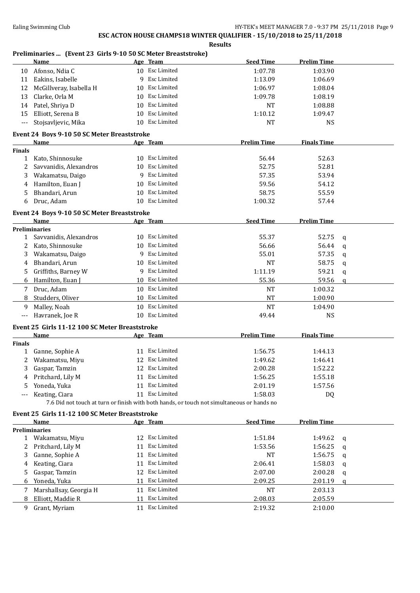**Results**

## **Preliminaries ... (Event 23 Girls 9-10 50 SC Meter Breaststroke)**

|               | Name                                           |                 | Age Team           | <b>Seed Time</b>                                                                                      | <b>Prelim Time</b> |              |
|---------------|------------------------------------------------|-----------------|--------------------|-------------------------------------------------------------------------------------------------------|--------------------|--------------|
| 10            | Afonso, Ndia C                                 |                 | 10 Esc Limited     | 1:07.78                                                                                               | 1:03.90            |              |
| 11            | Eakins, Isabelle                               | 9               | Esc Limited        | 1:13.09                                                                                               | 1:06.69            |              |
| 12            | McGillveray, Isabella H                        | 10              | Esc Limited        | 1:06.97                                                                                               | 1:08.04            |              |
| 13            | Clarke, Orla M                                 | 10              | Esc Limited        | 1:09.78                                                                                               | 1:08.19            |              |
| 14            | Patel, Shriya D                                | 10              | <b>Esc Limited</b> | NT                                                                                                    | 1:08.88            |              |
| 15            | Elliott, Serena B                              | 10              | Esc Limited        | 1:10.12                                                                                               | 1:09.47            |              |
| $---$         | Stojsavljevic, Mika                            |                 | 10 Esc Limited     | <b>NT</b>                                                                                             | <b>NS</b>          |              |
|               |                                                |                 |                    |                                                                                                       |                    |              |
|               | Event 24 Boys 9-10 50 SC Meter Breaststroke    |                 |                    |                                                                                                       |                    |              |
|               | Name                                           |                 | <u>Age Team</u>    | <b>Prelim Time</b>                                                                                    | <b>Finals Time</b> |              |
| <b>Finals</b> |                                                |                 | 10 Esc Limited     |                                                                                                       |                    |              |
| 1             | Kato, Shinnosuke                               |                 |                    | 56.44                                                                                                 | 52.63              |              |
| 2             | Savvanidis, Alexandros                         | 10 <sup>1</sup> | Esc Limited        | 52.75                                                                                                 | 52.81              |              |
| 3             | Wakamatsu, Daigo                               | 9               | Esc Limited        | 57.35                                                                                                 | 53.94              |              |
| 4             | Hamilton, Euan J                               | 10              | Esc Limited        | 59.56                                                                                                 | 54.12              |              |
| 5             | Bhandari, Arun                                 | 10              | Esc Limited        | 58.75                                                                                                 | 55.59              |              |
| 6             | Druc, Adam                                     |                 | 10 Esc Limited     | 1:00.32                                                                                               | 57.44              |              |
|               | Event 24 Boys 9-10 50 SC Meter Breaststroke    |                 |                    |                                                                                                       |                    |              |
|               | Name                                           |                 | Age Team           | <b>Seed Time</b>                                                                                      | <b>Prelim Time</b> |              |
|               | <b>Preliminaries</b>                           |                 |                    |                                                                                                       |                    |              |
| $\mathbf{1}$  | Savvanidis, Alexandros                         |                 | 10 Esc Limited     | 55.37                                                                                                 | 52.75              | q            |
| 2             | Kato, Shinnosuke                               | 10              | Esc Limited        | 56.66                                                                                                 | 56.44              | q            |
| 3             | Wakamatsu, Daigo                               | 9               | Esc Limited        | 55.01                                                                                                 | 57.35              | q            |
| 4             | Bhandari, Arun                                 |                 | 10 Esc Limited     | <b>NT</b>                                                                                             | 58.75              | q            |
| 5             | Griffiths, Barney W                            | 9               | Esc Limited        | 1:11.19                                                                                               | 59.21              | q            |
| 6             | Hamilton, Euan J                               |                 | 10 Esc Limited     | 55.36                                                                                                 | 59.56              | $\mathbf q$  |
| 7             | Druc, Adam                                     |                 | 10 Esc Limited     | NT                                                                                                    | 1:00.32            |              |
| 8             | Studders, Oliver                               |                 | 10 Esc Limited     | <b>NT</b>                                                                                             | 1:00.90            |              |
| 9             | Malley, Noah                                   |                 | 10 Esc Limited     | <b>NT</b>                                                                                             | 1:04.90            |              |
| ---           | Havranek, Joe R                                |                 | 10 Esc Limited     | 49.44                                                                                                 | <b>NS</b>          |              |
|               |                                                |                 |                    |                                                                                                       |                    |              |
|               | Event 25 Girls 11-12 100 SC Meter Breaststroke |                 |                    | <b>Prelim Time</b>                                                                                    |                    |              |
| <b>Finals</b> | Name                                           |                 | <u>Age Team</u>    |                                                                                                       | <b>Finals Time</b> |              |
| $\mathbf{1}$  | Ganne, Sophie A                                |                 | 11 Esc Limited     | 1:56.75                                                                                               | 1:44.13            |              |
| 2             | Wakamatsu, Miyu                                |                 | 12 Esc Limited     | 1:49.62                                                                                               | 1:46.41            |              |
| 3             | Gaspar, Tamzin                                 |                 | 12 Esc Limited     | 2:00.28                                                                                               | 1:52.22            |              |
| 4             | Pritchard, Lily M                              |                 | 11 Esc Limited     | 1:56.25                                                                                               | 1:55.18            |              |
|               |                                                |                 | 11 Esc Limited     |                                                                                                       |                    |              |
| 5             | Yoneda, Yuka                                   |                 | 11 Esc Limited     | 2:01.19                                                                                               | 1:57.56            |              |
| $---$         | Keating, Ciara                                 |                 |                    | 1:58.03<br>7.6 Did not touch at turn or finish with both hands, or touch not simultaneous or hands no | DQ                 |              |
|               |                                                |                 |                    |                                                                                                       |                    |              |
|               | Event 25 Girls 11-12 100 SC Meter Breaststroke |                 |                    |                                                                                                       |                    |              |
|               | Name                                           |                 | Age Team           | <b>Seed Time</b>                                                                                      | <b>Prelim Time</b> |              |
|               | <b>Preliminaries</b>                           |                 | 12 Esc Limited     |                                                                                                       |                    |              |
|               | 1 Wakamatsu, Miyu                              |                 |                    | 1:51.84                                                                                               | 1:49.62            | q            |
| 2             | Pritchard, Lily M                              |                 | 11 Esc Limited     | 1:53.56                                                                                               | 1:56.25            | q            |
| 3             | Ganne, Sophie A                                |                 | 11 Esc Limited     | <b>NT</b>                                                                                             | 1:56.75            | q            |
| 4             | Keating, Ciara                                 |                 | 11 Esc Limited     | 2:06.41                                                                                               | 1:58.03            | q            |
| 5             | Gaspar, Tamzin                                 |                 | 12 Esc Limited     | 2:07.00                                                                                               | 2:00.28            | q            |
| 6             | Yoneda, Yuka                                   | 11              | Esc Limited        | 2:09.25                                                                                               | 2:01.19            | $\mathbf{q}$ |
| 7             | Marshallsay, Georgia H                         |                 | 11 Esc Limited     | <b>NT</b>                                                                                             | 2:03.13            |              |
| 8             | Elliott, Maddie R                              | 11              | Esc Limited        | 2:08.03                                                                                               | 2:05.59            |              |
| 9             | Grant, Myriam                                  |                 | 11 Esc Limited     | 2:19.32                                                                                               | 2:10.00            |              |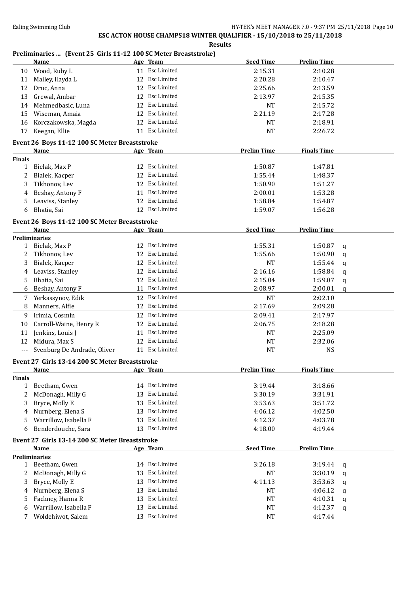**Results**

### **Preliminaries ... (Event 25 Girls 11-12 100 SC Meter Breaststroke)**

|               | Name                                           |    | Age Team       | <b>Seed Time</b>   | <b>Prelim Time</b> |   |
|---------------|------------------------------------------------|----|----------------|--------------------|--------------------|---|
| 10            | Wood, Ruby L                                   |    | 11 Esc Limited | 2:15.31            | 2:10.28            |   |
| 11            | Malley, Ilayda L                               | 12 | Esc Limited    | 2:20.28            | 2:10.47            |   |
| 12            | Druc, Anna                                     | 12 | Esc Limited    | 2:25.66            | 2:13.59            |   |
| 13            | Grewal, Ambar                                  | 12 | Esc Limited    | 2:13.97            | 2:15.35            |   |
| 14            | Mehmedbasic, Luna                              | 12 | Esc Limited    | <b>NT</b>          | 2:15.72            |   |
| 15            | Wiseman, Amaia                                 | 12 | Esc Limited    | 2:21.19            | 2:17.28            |   |
| 16            | Korczakowska, Magda                            | 12 | Esc Limited    | <b>NT</b>          | 2:18.91            |   |
| 17            | Keegan, Ellie                                  |    | 11 Esc Limited | NT                 | 2:26.72            |   |
|               |                                                |    |                |                    |                    |   |
|               | Event 26 Boys 11-12 100 SC Meter Breaststroke  |    |                |                    |                    |   |
|               | Name                                           |    | Age Team       | <b>Prelim Time</b> | <b>Finals Time</b> |   |
| <b>Finals</b> |                                                |    |                |                    |                    |   |
| $\mathbf{1}$  | Bielak, Max P                                  |    | 12 Esc Limited | 1:50.87            | 1:47.81            |   |
| 2             | Bialek, Kacper                                 |    | 12 Esc Limited | 1:55.44            | 1:48.37            |   |
| 3             | Tikhonov, Lev                                  |    | 12 Esc Limited | 1:50.90            | 1:51.27            |   |
| 4             | Beshay, Antony F                               |    | 11 Esc Limited | 2:00.01            | 1:53.28            |   |
| 5             | Leaviss, Stanley                               |    | 12 Esc Limited | 1:58.84            | 1:54.87            |   |
| 6             | Bhatia, Sai                                    |    | 12 Esc Limited | 1:59.07            | 1:56.28            |   |
|               | Event 26 Boys 11-12 100 SC Meter Breaststroke  |    |                |                    |                    |   |
|               | Name                                           |    | Age Team       | <b>Seed Time</b>   | <b>Prelim Time</b> |   |
|               | <b>Preliminaries</b>                           |    |                |                    |                    |   |
| $\mathbf{1}$  | Bielak, Max P                                  |    | 12 Esc Limited | 1:55.31            | 1:50.87            | q |
| 2             | Tikhonov, Lev                                  |    | 12 Esc Limited | 1:55.66            | 1:50.90            | q |
| 3             | Bialek, Kacper                                 |    | 12 Esc Limited | <b>NT</b>          | 1:55.44            | q |
| 4             | Leaviss, Stanley                               |    | 12 Esc Limited | 2:16.16            | 1:58.84            | q |
| 5.            | Bhatia, Sai                                    |    | 12 Esc Limited | 2:15.04            | 1:59.07            | q |
| 6             | Beshay, Antony F                               | 11 | Esc Limited    | 2:08.97            | 2:00.01            | a |
| 7             | Yerkassynov, Edik                              |    | 12 Esc Limited | <b>NT</b>          | 2:02.10            |   |
| 8             | Manners, Alfie                                 | 12 | Esc Limited    | 2:17.69            | 2:09.28            |   |
|               | Irimia, Cosmin                                 |    | 12 Esc Limited | 2:09.41            | 2:17.97            |   |
| 9             |                                                |    | 12 Esc Limited |                    |                    |   |
| 10            | Carroll-Waine, Henry R                         |    | Esc Limited    | 2:06.75            | 2:18.28            |   |
| 11            | Jenkins, Louis J                               | 11 |                | <b>NT</b>          | 2:25.09            |   |
| 12            | Midura, Max S                                  | 12 | Esc Limited    | NT                 | 2:32.06            |   |
| $---$         | Svenburg De Andrade, Oliver                    |    | 11 Esc Limited | NT                 | <b>NS</b>          |   |
|               | Event 27 Girls 13-14 200 SC Meter Breaststroke |    |                |                    |                    |   |
|               | Name                                           |    | Age Team       | <b>Prelim Time</b> | <b>Finals Time</b> |   |
| <b>Finals</b> |                                                |    |                |                    |                    |   |
| 1             | Beetham, Gwen                                  |    | 14 Esc Limited | 3:19.44            | 3:18.66            |   |
| 2             | McDonagh, Milly G                              | 13 | Esc Limited    | 3:30.19            | 3:31.91            |   |
| 3             | Bryce, Molly E                                 | 13 | Esc Limited    | 3:53.63            | 3:51.72            |   |
| 4             | Nurnberg, Elena S                              | 13 | Esc Limited    | 4:06.12            | 4:02.50            |   |
| 5             | Warrillow, Isabella F                          | 13 | Esc Limited    | 4:12.37            | 4:03.78            |   |
| 6             | Benderdouche, Sara                             | 13 | Esc Limited    | 4:18.00            | 4:19.44            |   |
|               | Event 27 Girls 13-14 200 SC Meter Breaststroke |    |                |                    |                    |   |
|               | Name                                           |    | Age Team       | <b>Seed Time</b>   | <b>Prelim Time</b> |   |
|               | <b>Preliminaries</b>                           |    |                |                    |                    |   |
| $\mathbf{1}$  | Beetham, Gwen                                  |    | 14 Esc Limited | 3:26.18            | 3:19.44            |   |
| 2             | McDonagh, Milly G                              | 13 | Esc Limited    | <b>NT</b>          | 3:30.19            | q |
| 3             |                                                | 13 | Esc Limited    | 4:11.13            | 3:53.63            | q |
|               | Bryce, Molly E                                 |    | Esc Limited    |                    |                    | q |
| 4             | Nurnberg, Elena S                              | 13 |                | NT                 | 4:06.12            | q |
| 5.            | Fackney, Hanna R                               | 13 | Esc Limited    | NT                 | 4:10.31            | q |
| 6             | Warrillow, Isabella F                          |    | 13 Esc Limited | NT                 | 4:12.37            | q |
| 7             | Woldehiwot, Salem                              |    | 13 Esc Limited | <b>NT</b>          | 4:17.44            |   |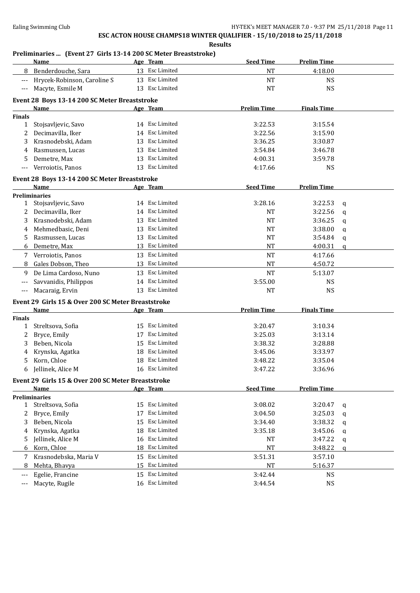**Results**

### **Preliminaries ... (Event 27 Girls 13-14 200 SC Meter Breaststroke)**

|               | Name                                                  |    | Age Team           | <b>Seed Time</b>   | <b>Prelim Time</b> |              |
|---------------|-------------------------------------------------------|----|--------------------|--------------------|--------------------|--------------|
| 8             | Benderdouche, Sara                                    |    | 13 Esc Limited     | <b>NT</b>          | 4:18.00            |              |
|               | Hrycek-Robinson, Caroline S                           | 13 | <b>Esc Limited</b> | NT                 | <b>NS</b>          |              |
| $---$         | Macyte, Esmile M                                      | 13 | Esc Limited        | <b>NT</b>          | <b>NS</b>          |              |
|               |                                                       |    |                    |                    |                    |              |
|               | Event 28 Boys 13-14 200 SC Meter Breaststroke<br>Name |    |                    | <b>Prelim Time</b> | <b>Finals Time</b> |              |
| Finals        |                                                       |    | <u>Age Team</u>    |                    |                    |              |
| $\mathbf{1}$  | Stojsavljevic, Savo                                   |    | 14 Esc Limited     | 3:22.53            | 3:15.54            |              |
| 2             | Decimavilla, Iker                                     | 14 | Esc Limited        | 3:22.56            | 3:15.90            |              |
| 3             | Krasnodebski, Adam                                    | 13 | Esc Limited        | 3:36.25            | 3:30.87            |              |
| 4             | Rasmussen, Lucas                                      | 13 | Esc Limited        | 3:54.84            | 3:46.78            |              |
| 5             | Demetre, Max                                          |    | 13 Esc Limited     | 4:00.31            | 3:59.78            |              |
| $---$         | Verroiotis, Panos                                     |    | 13 Esc Limited     | 4:17.66            | <b>NS</b>          |              |
|               |                                                       |    |                    |                    |                    |              |
|               | Event 28 Boys 13-14 200 SC Meter Breaststroke         |    |                    |                    |                    |              |
|               | <b>Name</b>                                           |    | Age Team           | <b>Seed Time</b>   | <b>Prelim Time</b> |              |
|               | <b>Preliminaries</b>                                  |    |                    |                    |                    |              |
|               | 1 Stojsavljevic, Savo                                 |    | 14 Esc Limited     | 3:28.16            | 3:22.53            | q            |
| 2             | Decimavilla, Iker                                     |    | 14 Esc Limited     | <b>NT</b>          | 3:22.56            | q            |
| 3             | Krasnodebski, Adam                                    | 13 | Esc Limited        | <b>NT</b>          | 3:36.25            | q            |
| 4             | Mehmedbasic, Deni                                     | 13 | Esc Limited        | <b>NT</b>          | 3:38.00            | q            |
| 5             | Rasmussen, Lucas                                      | 13 | Esc Limited        | <b>NT</b>          | 3:54.84            | q            |
| 6             | Demetre, Max                                          | 13 | Esc Limited        | <b>NT</b>          | 4:00.31            | $\mathbf{q}$ |
| 7             | Verroiotis, Panos                                     | 13 | Esc Limited        | <b>NT</b>          | 4:17.66            |              |
| 8             | Gales Dobson, Theo                                    | 13 | Esc Limited        | <b>NT</b>          | 4:50.72            |              |
| 9             | De Lima Cardoso, Nuno                                 | 13 | Esc Limited        | <b>NT</b>          | 5:13.07            |              |
|               | Savvanidis, Philippos                                 |    | 14 Esc Limited     | 3:55.00            | <b>NS</b>          |              |
| $---$         | Macaraig, Ervin                                       |    | 13 Esc Limited     | <b>NT</b>          | <b>NS</b>          |              |
|               | Event 29 Girls 15 & Over 200 SC Meter Breaststroke    |    |                    |                    |                    |              |
|               | Name                                                  |    | Age Team           | <b>Prelim Time</b> | <b>Finals Time</b> |              |
| <b>Finals</b> |                                                       |    |                    |                    |                    |              |
| 1             | Streltsova, Sofia                                     | 15 | Esc Limited        | 3:20.47            | 3:10.34            |              |
| 2             | Bryce, Emily                                          | 17 | Esc Limited        | 3:25.03            | 3:13.14            |              |
| 3             | Beben, Nicola                                         | 15 | Esc Limited        | 3:38.32            | 3:28.88            |              |
| 4             | Krynska, Agatka                                       | 18 | Esc Limited        | 3:45.06            | 3:33.97            |              |
| 5             | Korn, Chloe                                           | 18 | Esc Limited        | 3:48.22            | 3:35.04            |              |
| 6             | Jellinek, Alice M                                     |    | 16 Esc Limited     | 3:47.22            | 3:36.96            |              |
|               | Event 29 Girls 15 & Over 200 SC Meter Breaststroke    |    |                    |                    |                    |              |
|               | <b>Name</b>                                           |    | Age Team           | <b>Seed Time</b>   | <b>Prelim Time</b> |              |
|               | <b>Preliminaries</b>                                  |    |                    |                    |                    |              |
| 1             | Streltsova, Sofia                                     | 15 | Esc Limited        | 3:08.02            | 3:20.47            | q            |
| 2             | Bryce, Emily                                          | 17 | Esc Limited        | 3:04.50            | 3:25.03            | q            |
| 3             | Beben, Nicola                                         | 15 | Esc Limited        | 3:34.40            | 3:38.32            | q            |
| 4             | Krynska, Agatka                                       | 18 | Esc Limited        | 3:35.18            | 3:45.06            | q            |
| 5             | Jellinek, Alice M                                     | 16 | Esc Limited        | NT                 | 3:47.22            | q            |
| 6             | Korn, Chloe                                           | 18 | Esc Limited        | NT                 | 3:48.22            | $\alpha$     |
| 7             | Krasnodebska, Maria V                                 | 15 | Esc Limited        | 3:51.31            | 3:57.10            |              |
| 8             | Mehta, Bhavya                                         | 15 | Esc Limited        | $\rm{NT}$          | 5:16.37            |              |
| ---           | Egelie, Francine                                      | 15 | Esc Limited        | 3:42.44            | <b>NS</b>          |              |
|               | Macyte, Rugile                                        |    | 16 Esc Limited     | 3:44.54            | <b>NS</b>          |              |
| $---$         |                                                       |    |                    |                    |                    |              |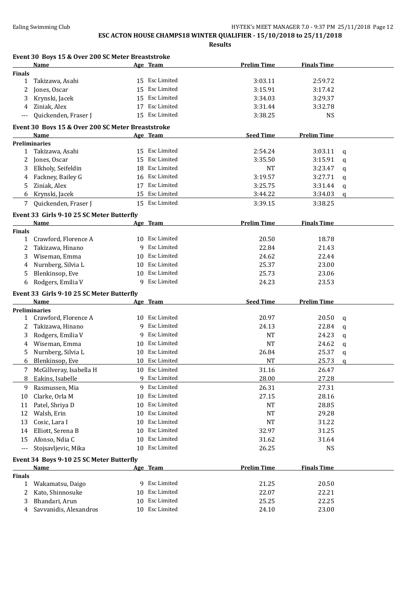|                               | Event 30 Boys 15 & Over 200 SC Meter Breaststroke |    |                 |                    |                    |   |
|-------------------------------|---------------------------------------------------|----|-----------------|--------------------|--------------------|---|
|                               | <b>Name</b>                                       |    | <u>Age Team</u> | <b>Prelim Time</b> | <b>Finals Time</b> |   |
| <b>Finals</b><br>$\mathbf{1}$ |                                                   |    | 15 Esc Limited  | 3:03.11            | 2:59.72            |   |
|                               | Takizawa, Asahi                                   | 15 | Esc Limited     |                    |                    |   |
| 2                             | Jones, Oscar                                      |    |                 | 3:15.91            | 3:17.42            |   |
| 3                             | Krynski, Jacek                                    | 15 | Esc Limited     | 3:34.03            | 3:29.37            |   |
| 4                             | Ziniak, Alex                                      | 17 | Esc Limited     | 3:31.44            | 3:32.78            |   |
| $---$                         | Quickenden, Fraser J                              |    | 15 Esc Limited  | 3:38.25            | <b>NS</b>          |   |
|                               | Event 30 Boys 15 & Over 200 SC Meter Breaststroke |    |                 |                    |                    |   |
|                               | Name                                              |    | Age Team        | <b>Seed Time</b>   | <b>Prelim Time</b> |   |
|                               | <b>Preliminaries</b>                              |    |                 |                    |                    |   |
|                               | 1 Takizawa, Asahi                                 |    | 15 Esc Limited  | 2:54.24            | 3:03.11            | q |
|                               | 2 Jones, Oscar                                    | 15 | Esc Limited     | 3:35.50            | 3:15.91            | a |
| 3                             | Elkholy, Seifeldin                                | 18 | Esc Limited     | <b>NT</b>          | 3:23.47            | q |
| 4                             | Fackney, Bailey G                                 |    | 16 Esc Limited  | 3:19.57            | 3:27.71            | q |
| 5                             | Ziniak, Alex                                      |    | 17 Esc Limited  | 3:25.75            | 3:31.44            | q |
| 6                             | Krynski, Jacek                                    |    | 15 Esc Limited  | 3:44.22            | 3:34.03            | a |
| 7                             | Quickenden, Fraser J                              |    | 15 Esc Limited  | 3:39.15            | 3:38.25            |   |
|                               | Event 33 Girls 9-10 25 SC Meter Butterfly         |    |                 |                    |                    |   |
|                               | Name                                              |    | Age Team        | <b>Prelim Time</b> | <b>Finals Time</b> |   |
| <b>Finals</b>                 |                                                   |    |                 |                    |                    |   |
| $\mathbf{1}$                  | Crawford, Florence A                              |    | 10 Esc Limited  | 20.50              | 18.78              |   |
| 2                             | Takizawa, Hinano                                  |    | 9 Esc Limited   | 22.84              | 21.43              |   |
| 3                             | Wiseman, Emma                                     | 10 | Esc Limited     | 24.62              | 22.44              |   |
| 4                             | Nurnberg, Silvia L                                | 10 | Esc Limited     | 25.37              | 23.00              |   |
| 5                             | Blenkinsop, Eve                                   | 10 | Esc Limited     | 25.73              | 23.06              |   |
| 6                             | Rodgers, Emilia V                                 | 9  | Esc Limited     | 24.23              | 23.53              |   |
|                               | Event 33 Girls 9-10 25 SC Meter Butterfly         |    |                 |                    |                    |   |
|                               | Name                                              |    | Age Team        | <b>Seed Time</b>   | <b>Prelim Time</b> |   |
|                               | <b>Preliminaries</b>                              |    |                 |                    |                    |   |
| 1                             | Crawford, Florence A                              |    | 10 Esc Limited  | 20.97              | 20.50              | q |
| 2                             | Takizawa, Hinano                                  | 9  | Esc Limited     | 24.13              | 22.84              | q |
| 3                             | Rodgers, Emilia V                                 | 9  | Esc Limited     | <b>NT</b>          | 24.23              | q |
| 4                             | Wiseman, Emma                                     | 10 | Esc Limited     | <b>NT</b>          | 24.62              | q |
| 5                             | Nurnberg, Silvia L                                | 10 | Esc Limited     | 26.84              | 25.37              | q |
| 6                             | Blenkinsop, Eve                                   |    | 10 Esc Limited  | NT                 | 25.73              | a |
| 7                             | McGillveray, Isabella H                           |    | 10 Esc Limited  | 31.16              | 26.47              |   |
| 8                             | Eakins, Isabelle                                  | 9  | Esc Limited     | 28.00              | 27.28              |   |
| 9                             | Rasmussen, Mia                                    | 9  | Esc Limited     | 26.31              | 27.31              |   |
| 10                            | Clarke, Orla M                                    | 10 | Esc Limited     | 27.15              | 28.16              |   |
| 11                            | Patel, Shriya D                                   | 10 | Esc Limited     | NT                 | 28.85              |   |
| 12                            | Walsh, Erin                                       | 10 | Esc Limited     | <b>NT</b>          | 29.28              |   |
| 13                            | Cosic, Lara I                                     | 10 | Esc Limited     | NT                 | 31.22              |   |
| 14                            | Elliott, Serena B                                 | 10 | Esc Limited     | 32.97              | 31.25              |   |
| 15                            | Afonso, Ndia C                                    | 10 | Esc Limited     | 31.62              | 31.64              |   |
| ---                           | Stojsavljevic, Mika                               | 10 | Esc Limited     | 26.25              | <b>NS</b>          |   |
|                               |                                                   |    |                 |                    |                    |   |
|                               | Event 34 Boys 9-10 25 SC Meter Butterfly          |    |                 | <b>Prelim Time</b> | <b>Finals Time</b> |   |
| <b>Finals</b>                 | <b>Name</b>                                       |    | Age Team        |                    |                    |   |
| $\mathbf{1}$                  | Wakamatsu, Daigo                                  |    | 9 Esc Limited   | 21.25              | 20.50              |   |
| 2                             | Kato, Shinnosuke                                  | 10 | Esc Limited     | 22.07              | 22.21              |   |
| 3                             | Bhandari, Arun                                    | 10 | Esc Limited     | 25.25              | 22.25              |   |
|                               |                                                   |    |                 |                    |                    |   |
| 4                             | Savvanidis, Alexandros                            |    | 10 Esc Limited  | 24.10              | 23.00              |   |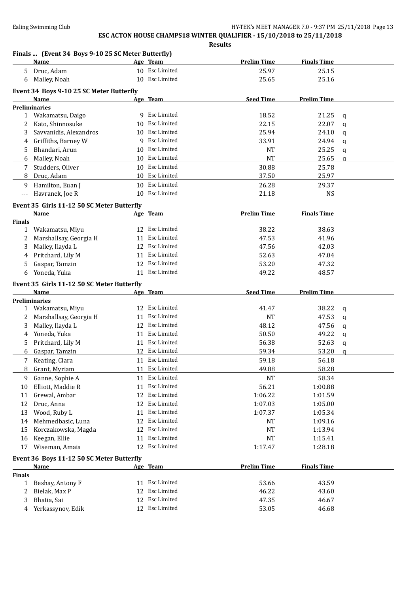**Results Finals ... (Event 34 Boys 9-10 25 SC Meter Butterfly) Name Age Team Prelim Time Finals Time** 5 Druc, Adam 10 Esc Limited 25.97 25.15 6 Malley, Noah 10 Esc Limited 25.65 25.16 **Event 34 Boys 9-10 25 SC Meter Butterfly Name Age Team Seed Time Prelim Time Preliminaries** 1 Wakamatsu, Daigo 9 Esc Limited 18.52 21.25 q 2 Kato, Shinnosuke 10 Esc Limited 22.15 22.07 q 3 Savvanidis, Alexandros 10 Esc Limited 25.94 24.10 q 4 Griffiths, Barney W 9 Esc Limited 33.91 24.94 q 5 Bhandari, Arun 10 Esc Limited 10 Esc Limited NT 25.25 q 6 Malley, Noah 10 Esc Limited NT 25.65 q 7 Studders, Oliver 10 Esc Limited 30.88 25.78 8 Druc, Adam 10 Esc Limited 37.50 25.97 9 Hamilton, Euan J 10 Esc Limited 26.28 29.37 --- Havranek, Joe R 10 Esc Limited 21.18 NS **Event 35 Girls 11-12 50 SC Meter Butterfly Name Age Team Prelim Time Finals Time Finals** 1 Wakamatsu, Miyu 12 Esc Limited 38.22 38.63 2 Marshallsay, Georgia H 11 Esc Limited 47.53 41.96 3 Malley, Ilayda L 12 Esc Limited 47.56 42.03 4 Pritchard, Lily M 11 Esc Limited 52.63 47.04 5 Gaspar, Tamzin 12 Esc Limited 53.20 47.32 6 Yoneda, Yuka 11 Esc Limited 49.22 48.57 **Event 35 Girls 11-12 50 SC Meter Butterfly Name Age Team Seed Time Prelim Time Preliminaries** 1 Wakamatsu, Miyu 12 Esc Limited 41.47 38.22 q 2 Marshallsay, Georgia H 11 Esc Limited 11 Ave NT 47.53 q 3 Malley, Ilayda L 12 Esc Limited 48.12 47.56 q 4 Yoneda, Yuka 11 Esc Limited 50.50 49.22 q 5 Pritchard, Lily M 11 Esc Limited 56.38 52.63 q 6 Gaspar, Tamzin 12 Esc Limited 59.34 53.20 q 7 Keating, Ciara 11 Esc Limited 59.18 56.18 56.18 8 Grant, Myriam 11 Esc Limited 49.88 58.28 9 Ganne, Sophie A 11 Esc Limited NT 58.34 10 Elliott, Maddie R 11 Esc Limited 56.21 1:00.88 11 Grewal, Ambar 12 Esc Limited 1:06.22 1:01.59 12 Druc, Anna 12 Esc Limited 1:07.03 1:05.00 13 Wood, Ruby L 11 Esc Limited 1:07.37 1:05.34 14 Mehmedbasic, Luna 12 Esc Limited 12 NT 1:09.16 15 Korczakowska, Magda 12 Esc Limited NT 1:13.94 16 Keegan, Ellie 11 Esc Limited 11 Esc Limited NT 1:15.41 17 Wiseman, Amaia 12 Esc Limited 1:17.47 1:28.18 **Event 36 Boys 11-12 50 SC Meter Butterfly Name Age Team Prelim Time Finals Time Finals** 1 Beshay, Antony F 11 Esc Limited 53.66 43.59 2 Bielak, Max P 12 Esc Limited 46.22 43.60 3 Bhatia, Sai 12 Esc Limited 47.35 46.67 4 Yerkassynov, Edik 12 Esc Limited 53.05 46.68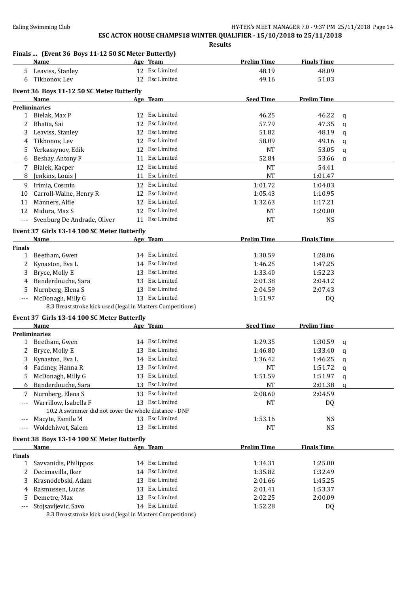|               |                                                                    |    |                 | <b>Results</b>     |                    |              |
|---------------|--------------------------------------------------------------------|----|-----------------|--------------------|--------------------|--------------|
|               | Finals  (Event 36 Boys 11-12 50 SC Meter Butterfly)<br><b>Name</b> |    | Age Team        | <b>Prelim Time</b> | <b>Finals Time</b> |              |
| 5.            | Leaviss, Stanley                                                   |    | 12 Esc Limited  | 48.19              | 48.09              |              |
| 6             | Tikhonov, Lev                                                      |    | 12 Esc Limited  | 49.16              | 51.03              |              |
|               | Event 36 Boys 11-12 50 SC Meter Butterfly                          |    |                 |                    |                    |              |
|               | Name                                                               |    | Age Team        | <b>Seed Time</b>   | <b>Prelim Time</b> |              |
|               | <b>Preliminaries</b>                                               |    |                 |                    |                    |              |
|               | 1 Bielak, Max P                                                    |    | 12 Esc Limited  | 46.25              | 46.22              | q            |
| 2             | Bhatia, Sai                                                        | 12 | Esc Limited     | 57.79              | 47.35              | $\mathbf q$  |
| 3             | Leaviss, Stanley                                                   |    | 12 Esc Limited  | 51.82              | 48.19              | q            |
| 4             | Tikhonov, Lev                                                      |    | 12 Esc Limited  | 58.09              | 49.16              | q            |
| 5.            | Yerkassynov, Edik                                                  |    | 12 Esc Limited  | <b>NT</b>          | 53.05              | q            |
| 6             | Beshay, Antony F                                                   |    | 11 Esc Limited  | 52.84              | 53.66              | $\mathbf{q}$ |
| 7             | Bialek, Kacper                                                     |    | 12 Esc Limited  | <b>NT</b>          | 54.41              |              |
| 8             | Jenkins, Louis J                                                   |    | 11 Esc Limited  | <b>NT</b>          | 1:01.47            |              |
|               | Irimia, Cosmin                                                     |    | 12 Esc Limited  |                    |                    |              |
| 9             |                                                                    |    |                 | 1:01.72            | 1:04.03            |              |
| 10            | Carroll-Waine, Henry R                                             |    | 12 Esc Limited  | 1:05.43            | 1:10.95            |              |
| 11            | Manners, Alfie                                                     | 12 | Esc Limited     | 1:32.63            | 1:17.21            |              |
| 12            | Midura, Max S                                                      |    | 12 Esc Limited  | NT                 | 1:20.00            |              |
| ---           | Svenburg De Andrade, Oliver                                        |    | 11 Esc Limited  | <b>NT</b>          | <b>NS</b>          |              |
|               | Event 37 Girls 13-14 100 SC Meter Butterfly                        |    |                 |                    |                    |              |
|               | Name                                                               |    | Age Team        | <b>Prelim Time</b> | <b>Finals Time</b> |              |
| <b>Finals</b> |                                                                    |    |                 |                    |                    |              |
| $\mathbf{1}$  | Beetham, Gwen                                                      |    | 14 Esc Limited  | 1:30.59            | 1:28.06            |              |
| 2             | Kynaston, Eva L                                                    |    | 14 Esc Limited  | 1:46.25            | 1:47.25            |              |
| 3             | Bryce, Molly E                                                     |    | 13 Esc Limited  | 1:33.40            | 1:52.23            |              |
| 4             | Benderdouche, Sara                                                 | 13 | Esc Limited     | 2:01.38            | 2:04.12            |              |
| 5             | Nurnberg, Elena S                                                  | 13 | Esc Limited     | 2:04.59            | 2:07.43            |              |
|               | McDonagh, Milly G                                                  |    | 13 Esc Limited  | 1:51.97            | DQ                 |              |
|               | 8.3 Breaststroke kick used (legal in Masters Competitions)         |    |                 |                    |                    |              |
|               | Event 37 Girls 13-14 100 SC Meter Butterfly                        |    |                 |                    |                    |              |
|               | Name                                                               |    | <u>Age Team</u> | <b>Seed Time</b>   | <b>Prelim Time</b> |              |
|               | <b>Preliminaries</b>                                               |    |                 |                    |                    |              |
|               | 1 Beetham, Gwen                                                    |    | 14 Esc Limited  | 1:29.35            | 1:30.59            | q            |
|               | 2 Bryce, Molly E                                                   |    | 13 Esc Limited  | 1:46.80            | 1:33.40            |              |
|               |                                                                    |    |                 |                    |                    | q            |
| 3             | Kynaston, Eva L                                                    |    | 14 Esc Limited  | 1:36.42            | 1:46.25            | q            |
| 4             | Fackney, Hanna R                                                   |    | 13 Esc Limited  | NT                 | 1:51.72            | q            |
| 5             | McDonagh, Milly G                                                  |    | 13 Esc Limited  | 1:51.59            | 1:51.97            | q            |
| 6             | Benderdouche, Sara                                                 |    | 13 Esc Limited  | NT                 | 2:01.38            | q            |
| 7             | Nurnberg, Elena S                                                  | 13 | Esc Limited     | 2:08.60            | 2:04.59            |              |
| $---$         | Warrillow, Isabella F                                              | 13 | Esc Limited     | NT                 | DQ                 |              |
|               | 10.2 A swimmer did not cover the whole distance - DNF              |    |                 |                    |                    |              |
|               | Macyte, Esmile M                                                   |    | 13 Esc Limited  | 1:53.16            | <b>NS</b>          |              |
| $---$         | Woldehiwot, Salem                                                  | 13 | Esc Limited     | NT                 | <b>NS</b>          |              |
|               | Event 38 Boys 13-14 100 SC Meter Butterfly                         |    |                 |                    |                    |              |
|               | Name                                                               |    | Age Team        | <b>Prelim Time</b> | <b>Finals Time</b> |              |
| <b>Finals</b> |                                                                    |    |                 |                    |                    |              |
| $\mathbf{1}$  | Savvanidis, Philippos                                              |    | 14 Esc Limited  | 1:34.31            | 1:25.00            |              |
| 2             | Decimavilla, Iker                                                  | 14 | Esc Limited     | 1:35.82            | 1:32.49            |              |
| 3             | Krasnodebski, Adam                                                 | 13 | Esc Limited     | 2:01.66            | 1:45.25            |              |
| 4             | Rasmussen, Lucas                                                   | 13 | Esc Limited     | 2:01.41            | 1:53.37            |              |
| 5             | Demetre, Max                                                       | 13 | Esc Limited     | 2:02.25            | 2:00.09            |              |
| $---$         | Stojsavljevic, Savo                                                |    | 14 Esc Limited  | 1:52.28            | DQ                 |              |
|               |                                                                    |    |                 |                    |                    |              |

8.3 Breaststroke kick used (legal in Masters Competitions)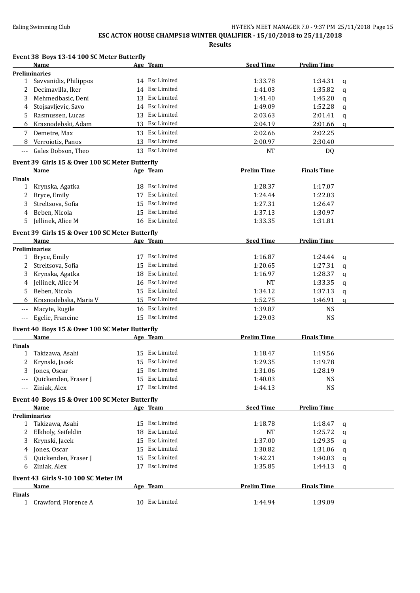|                    | Event 38 Boys 13-14 100 SC Meter Butterfly      |    |                |                    |                    |              |
|--------------------|-------------------------------------------------|----|----------------|--------------------|--------------------|--------------|
|                    | Name                                            |    | Age Team       | <b>Seed Time</b>   | <b>Prelim Time</b> |              |
|                    | <b>Preliminaries</b>                            |    |                |                    |                    |              |
| $\mathbf{1}$       | Savvanidis, Philippos                           |    | 14 Esc Limited | 1:33.78            | 1:34.31            | q            |
| 2                  | Decimavilla, Iker                               | 14 | Esc Limited    | 1:41.03            | 1:35.82            | q            |
| 3                  | Mehmedbasic, Deni                               | 13 | Esc Limited    | 1:41.40            | 1:45.20            | q            |
| 4                  | Stojsavljevic, Savo                             | 14 | Esc Limited    | 1:49.09            | 1:52.28            | q            |
| 5                  | Rasmussen, Lucas                                | 13 | Esc Limited    | 2:03.63            | 2:01.41            | q            |
| 6                  | Krasnodebski, Adam                              | 13 | Esc Limited    | 2:04.19            | 2:01.66            | $\mathbf{q}$ |
| 7                  | Demetre, Max                                    |    | 13 Esc Limited | 2:02.66            | 2:02.25            |              |
| 8                  | Verroiotis, Panos                               | 13 | Esc Limited    | 2:00.97            | 2:30.40            |              |
| $---$              | Gales Dobson, Theo                              |    | 13 Esc Limited | <b>NT</b>          | DQ                 |              |
|                    | Event 39 Girls 15 & Over 100 SC Meter Butterfly |    |                |                    |                    |              |
|                    | Name                                            |    | Age Team       | <b>Prelim Time</b> | <b>Finals Time</b> |              |
| <b>Finals</b>      |                                                 |    |                |                    |                    |              |
| $\mathbf{1}$       | Krynska, Agatka                                 |    | 18 Esc Limited | 1:28.37            | 1:17.07            |              |
| 2                  | Bryce, Emily                                    | 17 | Esc Limited    | 1:24.44            | 1:22.03            |              |
| 3                  | Streltsova, Sofia                               | 15 | Esc Limited    | 1:27.31            | 1:26.47            |              |
| 4                  | Beben, Nicola                                   | 15 | Esc Limited    | 1:37.13            | 1:30.97            |              |
| 5                  | Jellinek, Alice M                               | 16 | Esc Limited    | 1:33.35            | 1:31.81            |              |
|                    | Event 39 Girls 15 & Over 100 SC Meter Butterfly |    |                |                    |                    |              |
|                    | <b>Name</b>                                     |    | Age Team       | <b>Seed Time</b>   | <b>Prelim Time</b> |              |
|                    | <b>Preliminaries</b>                            |    |                |                    |                    |              |
| 1                  | Bryce, Emily                                    |    | 17 Esc Limited | 1:16.87            | 1:24.44            | $\mathbf q$  |
| 2                  | Streltsova, Sofia                               | 15 | Esc Limited    | 1:20.65            | 1:27.31            | $\mathbf q$  |
| 3                  | Krynska, Agatka                                 | 18 | Esc Limited    | 1:16.97            | 1:28.37            | q            |
| 4                  | Jellinek, Alice M                               | 16 | Esc Limited    | <b>NT</b>          | 1:33.35            | q            |
| 5                  | Beben, Nicola                                   | 15 | Esc Limited    | 1:34.12            | 1:37.13            | q            |
| 6                  | Krasnodebska, Maria V                           | 15 | Esc Limited    | 1:52.75            | 1:46.91            | $\mathbf{q}$ |
| ---                | Macyte, Rugile                                  |    | 16 Esc Limited | 1:39.87            | <b>NS</b>          |              |
| $---$              | Egelie, Francine                                |    | 15 Esc Limited | 1:29.03            | <b>NS</b>          |              |
|                    |                                                 |    |                |                    |                    |              |
|                    | Event 40 Boys 15 & Over 100 SC Meter Butterfly  |    |                |                    |                    |              |
|                    | <b>Name</b>                                     |    | Age Team       | <b>Prelim Time</b> | <b>Finals Time</b> |              |
| <b>Finals</b><br>1 | Takizawa, Asahi                                 |    | 15 Esc Limited | 1:18.47            | 1:19.56            |              |
| $\overline{2}$     | Krynski, Jacek                                  |    | 15 Esc Limited | 1:29.35            | 1:19.78            |              |
| 3                  | Jones, Oscar                                    |    | 15 Esc Limited | 1:31.06            | 1:28.19            |              |
|                    | Quickenden, Fraser J                            |    | 15 Esc Limited | 1:40.03            | <b>NS</b>          |              |
| ---                | Ziniak, Alex                                    |    | 17 Esc Limited | 1:44.13            | <b>NS</b>          |              |
|                    |                                                 |    |                |                    |                    |              |
|                    | Event 40 Boys 15 & Over 100 SC Meter Butterfly  |    |                |                    |                    |              |
|                    | Name                                            |    | Age Team       | <b>Seed Time</b>   | <b>Prelim Time</b> |              |
|                    | <b>Preliminaries</b>                            |    |                |                    |                    |              |
| 1                  | Takizawa, Asahi                                 |    | 15 Esc Limited | 1:18.78            | 1:18.47            | q            |
| 2                  | Elkholy, Seifeldin                              | 18 | Esc Limited    | <b>NT</b>          | 1:25.72            | q            |
| 3                  | Krynski, Jacek                                  | 15 | Esc Limited    | 1:37.00            | 1:29.35            | q            |
| 4                  | Jones, Oscar                                    | 15 | Esc Limited    | 1:30.82            | 1:31.06            | q            |
| 5                  | Quickenden, Fraser J                            | 15 | Esc Limited    | 1:42.21            | 1:40.03            | q            |
| 6                  | Ziniak, Alex                                    |    | 17 Esc Limited | 1:35.85            | 1:44.13            | q            |
|                    | Event 43 Girls 9-10 100 SC Meter IM             |    |                |                    |                    |              |
|                    | <b>Name</b>                                     |    | Age Team       | <b>Prelim Time</b> | <b>Finals Time</b> |              |
| <b>Finals</b>      |                                                 |    |                |                    |                    |              |
| $\mathbf{1}$       | Crawford, Florence A                            |    | 10 Esc Limited | 1:44.94            | 1:39.09            |              |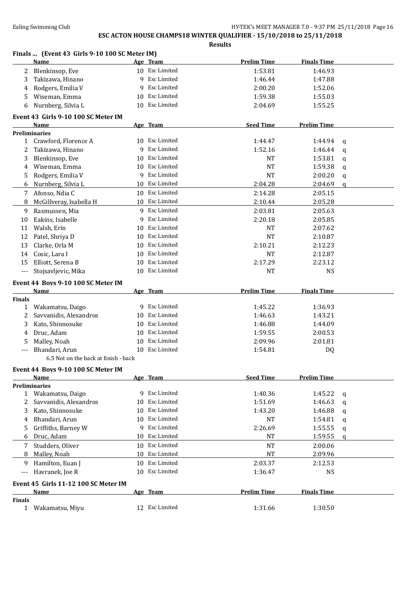|                     | Finals  (Event 43 Girls 9-10 100 SC Meter IM) |    |                    |                    |                    |              |
|---------------------|-----------------------------------------------|----|--------------------|--------------------|--------------------|--------------|
|                     | Name                                          |    | Age Team           | <b>Prelim Time</b> | <b>Finals Time</b> |              |
| 2                   | Blenkinsop, Eve                               |    | 10 Esc Limited     | 1:53.81            | 1:46.93            |              |
| 3                   | Takizawa, Hinano                              |    | 9 Esc Limited      | 1:46.44            | 1:47.88            |              |
| 4                   | Rodgers, Emilia V                             | 9  | Esc Limited        | 2:00.20            | 1:52.06            |              |
| 5.                  | Wiseman, Emma                                 | 10 | <b>Esc Limited</b> | 1:59.38            | 1:55.03            |              |
| 6                   | Nurnberg, Silvia L                            | 10 | Esc Limited        | 2:04.69            | 1:55.25            |              |
|                     | Event 43 Girls 9-10 100 SC Meter IM           |    |                    |                    |                    |              |
|                     | Name                                          |    | Age Team           | <b>Seed Time</b>   | <b>Prelim Time</b> |              |
|                     | <b>Preliminaries</b>                          |    |                    |                    |                    |              |
| 1                   | Crawford, Florence A                          |    | 10 Esc Limited     | 1:44.47            | 1:44.94            | q            |
| 2                   | Takizawa, Hinano                              | 9  | Esc Limited        | 1:52.16            | 1:46.44            | a            |
| 3                   | Blenkinsop, Eve                               | 10 | Esc Limited        | NT                 | 1:53.81            | q            |
| 4                   | Wiseman, Emma                                 | 10 | Esc Limited        | NT                 | 1:59.38            | $\mathbf q$  |
| 5                   | Rodgers, Emilia V                             | 9  | Esc Limited        | <b>NT</b>          | 2:00.20            | q            |
| 6                   | Nurnberg, Silvia L                            | 10 | Esc Limited        | 2:04.28            | 2:04.69            | q            |
| 7                   | Afonso, Ndia C                                |    | 10 Esc Limited     | 2:14.28            | 2:05.15            |              |
| 8                   | McGillveray, Isabella H                       |    | 10 Esc Limited     | 2:10.44            | 2:05.28            |              |
| 9                   | Rasmussen, Mia                                |    | 9 Esc Limited      | 2:03.81            | 2:05.63            |              |
| 10                  | Eakins, Isabelle                              | 9  | Esc Limited        | 2:20.18            | 2:05.85            |              |
| 11                  | Walsh, Erin                                   | 10 | Esc Limited        | NT                 | 2:07.62            |              |
| 12                  | Patel, Shriya D                               | 10 | Esc Limited        | NT                 | 2:10.87            |              |
| 13                  | Clarke, Orla M                                | 10 | Esc Limited        | 2:10.21            | 2:12.23            |              |
| 14                  | Cosic, Lara I                                 | 10 | Esc Limited        | NT                 | 2:12.87            |              |
| 15                  | Elliott, Serena B                             | 10 | Esc Limited        | 2:17.29            | 2:23.12            |              |
| $\qquad \qquad - -$ | Stojsavljevic, Mika                           |    | 10 Esc Limited     | NT                 | <b>NS</b>          |              |
|                     | Event 44 Boys 9-10 100 SC Meter IM            |    |                    |                    |                    |              |
|                     | Name                                          |    | Age Team           | <b>Prelim Time</b> | <b>Finals Time</b> |              |
| <b>Finals</b>       |                                               |    |                    |                    |                    |              |
| 1                   | Wakamatsu, Daigo                              |    | 9 Esc Limited      | 1:45.22            | 1:36.93            |              |
| 2                   | Savvanidis, Alexandros                        | 10 | Esc Limited        | 1:46.63            | 1:43.21            |              |
| 3                   | Kato, Shinnosuke                              | 10 | <b>Esc Limited</b> | 1:46.88            | 1:44.09            |              |
| 4                   | Druc, Adam                                    | 10 | Esc Limited        | 1:59.55            | 2:00.53            |              |
| 5                   | Malley, Noah                                  | 10 | Esc Limited        | 2:09.96            | 2:01.81            |              |
| $---$               | Bhandari, Arun                                | 10 | Esc Limited        | 1:54.81            | DQ                 |              |
|                     | 6.5 Not on the back at finish - back          |    |                    |                    |                    |              |
|                     | Event 44 Boys 9-10 100 SC Meter IM            |    |                    |                    |                    |              |
|                     | Name                                          |    | Age Team           | <b>Seed Time</b>   | <b>Prelim Time</b> |              |
|                     | <b>Preliminaries</b>                          |    |                    |                    |                    |              |
|                     | 1 Wakamatsu, Daigo                            |    | 9 Esc Limited      | 1:40.36            | 1:45.22            | $\mathbf q$  |
| 2                   | Savvanidis, Alexandros                        | 10 | Esc Limited        | 1:51.69            | 1:46.63            | q            |
| 3                   | Kato, Shinnosuke                              | 10 | Esc Limited        | 1:43.20            | 1:46.88            | q            |
| 4                   | Bhandari, Arun                                | 10 | Esc Limited        | NT                 | 1:54.81            | q            |
| 5.                  | Griffiths, Barney W                           | 9  | Esc Limited        | 2:26.69            | 1:55.55            | q            |
| 6                   | Druc, Adam                                    | 10 | Esc Limited        | NT                 | 1:59.55            | $\mathbf{q}$ |
| 7                   | Studders, Oliver                              | 10 | Esc Limited        | <b>NT</b>          | 2:00.06            |              |
| 8                   | Malley, Noah                                  | 10 | Esc Limited        | <b>NT</b>          | 2:09.96            |              |
| 9                   | Hamilton, Euan J                              |    | 10 Esc Limited     | 2:03.37            | 2:12.53            |              |
| $\overline{a}$      | Havranek, Joe R                               |    | 10 Esc Limited     | 1:36.47            | <b>NS</b>          |              |
|                     | Event 45 Girls 11-12 100 SC Meter IM          |    |                    |                    |                    |              |
|                     | <b>Name</b>                                   |    | Age Team           | <b>Prelim Time</b> | <b>Finals Time</b> |              |
| <b>Finals</b>       |                                               |    |                    |                    |                    |              |
| $\mathbf{1}$        | Wakamatsu, Miyu                               |    | 12 Esc Limited     | 1:31.66            | 1:30.50            |              |
|                     |                                               |    |                    |                    |                    |              |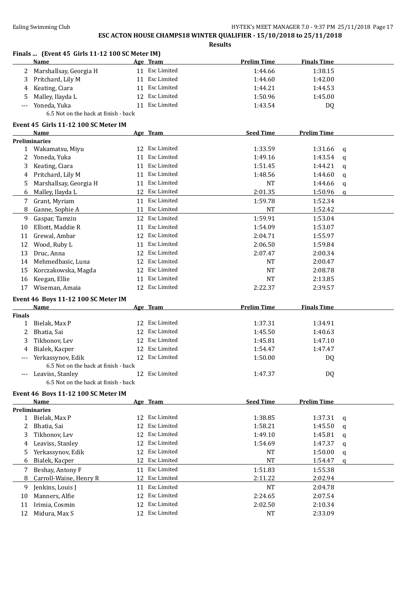**Results Finals ... (Event 45 Girls 11-12 100 SC Meter IM) Name Age Team Prelim Time Finals Time** 2 Marshallsay, Georgia H 11 Esc Limited 1:44.66 1:38.15 3 Pritchard, Lily M 11 Esc Limited 1:44.60 1:42.00 4 Keating, Ciara 1:44.53 (11 Esc Limited 1:44.21 1:44.53 5 Malley, Ilayda L 12 Esc Limited 1:50.96 1:45.00 --- Yoneda, Yuka 11 Esc Limited 1:43.54 DQ 6.5 Not on the back at finish - back **Event 45 Girls 11-12 100 SC Meter IM Name Age Team Seed Time Prelim Time Preliminaries** 1 Wakamatsu, Miyu 12 Esc Limited 1:33.59 1:31.66 q 2 Yoneda, Yuka 11 Esc Limited 1:49.16 1:43.54 q 3 Keating, Ciara 11 Esc Limited 1:51.45 1:44.21 q 4 Pritchard, Lily M 11 Esc Limited 1:48.56 1:44.60 q 5 Marshallsay, Georgia H 11 Esc Limited 11 Ave NT 1:44.66 q 6 Malley, Ilayda L 12 Esc Limited 2:01.35 1:50.96 q 7 Grant, Myriam 11 Esc Limited 1:59.78 1:52.34 8 Ganne, Sophie A 11 Esc Limited 11 A 1:52.42 9 Gaspar, Tamzin 12 Esc Limited 1:59.91 1:53.04 10 Elliott, Maddie R 11 Esc Limited 1:54.09 1:53.07 11 Grewal, Ambar 12 Esc Limited 2:04.71 1:55.97 12 Wood, Ruby L 11 Esc Limited 2:06.50 1:59.84 13 Druc, Anna 12 Esc Limited 2:07.47 2:00.34 14 Mehmedbasic, Luna 12 Esc Limited 12 Provident NT 2:00.47 15 Korczakowska, Magda 12 Esc Limited NT 2:08.78 16 Keegan, Ellie 11 Esc Limited 11 Esc Limited NT 2:13.85 17 Wiseman, Amaia 12 Esc Limited 2:22.37 2:39.57 **Event 46 Boys 11-12 100 SC Meter IM Age Team Prelim Time Finals Time Finals** 1 Bielak, Max P 12 Esc Limited 1:37.31 1:34.91 2 Bhatia, Sai **12 Esc Limited** 1:45.50 1:40.63 3 Tikhonov, Lev 12 Esc Limited 1:45.81 1:47.10 4 Bialek, Kacper 12 Esc Limited 1:54.47 1:47.47 Yerkassynov, Edik 12 Esc Limited 1:50.00 DQ 6.5 Not on the back at finish - back --- Leaviss, Stanley 12 Esc Limited 1:47.37 DO 6.5 Not on the back at finish - back **Event 46 Boys 11-12 100 SC Meter IM Name Age Team Seed Time Prelim Time Preliminaries** 1 Bielak, Max P 12 Esc Limited 1:38.85 1:37.31 q 2 Bhatia, Sai 12 Esc Limited 1:58.21 1:45.50 q 3 Tikhonov, Lev 12 Esc Limited 1:49.10 1:45.81 q 4 Leaviss, Stanley 12 Esc Limited 1:54.69 1:47.37 q 5 Yerkassynov, Edik 12 Esc Limited 12 AV NT 1:50.00 q 6 Bialek, Kacper 12 Esc Limited 12 For NT 1:54.47 q 7 Beshay, Antony F 11 Esc Limited 1:51.83 1:55.38 8 Carroll-Waine, Henry R 12 Esc Limited 2:11.22 2:02.94 9 Jenkins, Louis J 11 Esc Limited NT 2:04.78 10 Manners, Alfie 12 Esc Limited 2:24.65 2:07.54 11 Irimia, Cosmin 12 Esc Limited 2:02.50 2:10.34 12 Midura, Max S 12 Esc Limited 12 Formula 12 Esc Limited 12 NT 2:33.09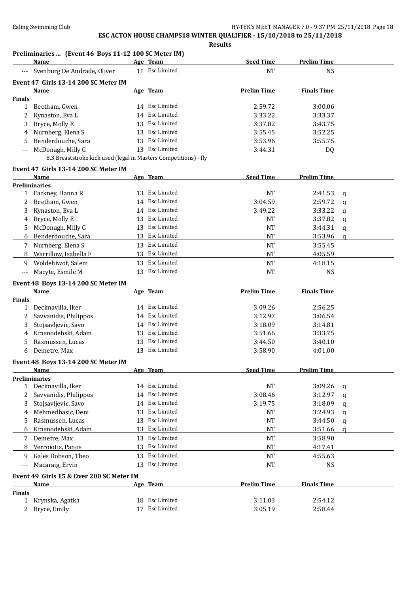**Results**

### **Preliminaries ... (Event 46 Boys 11-12 100 SC Meter IM)**

|               | I Temminal les  (Event 40 DOYS II-IZ TOO SC Meter IM)<br>Name    |    | Age Team       | <b>Seed Time</b>   | <b>Prelim Time</b> |              |
|---------------|------------------------------------------------------------------|----|----------------|--------------------|--------------------|--------------|
|               | Svenburg De Andrade, Oliver                                      |    | 11 Esc Limited | <b>NT</b>          | <b>NS</b>          |              |
|               | Event 47 Girls 13-14 200 SC Meter IM                             |    |                |                    |                    |              |
|               | Name                                                             |    | Age Team       | <b>Prelim Time</b> | <b>Finals Time</b> |              |
| <b>Finals</b> |                                                                  |    |                |                    |                    |              |
| $\mathbf{1}$  | Beetham, Gwen                                                    |    | 14 Esc Limited | 2:59.72            | 3:00.06            |              |
| 2             | Kynaston, Eva L                                                  |    | 14 Esc Limited | 3:33.22            | 3:33.37            |              |
| 3             | Bryce, Molly E                                                   |    | 13 Esc Limited | 3:37.82            | 3:43.75            |              |
| 4             | Nurnberg, Elena S                                                |    | 13 Esc Limited | 3:55.45            | 3:52.25            |              |
| 5             | Benderdouche, Sara                                               |    | 13 Esc Limited | 3:53.96            | 3:55.75            |              |
|               | McDonagh, Milly G                                                |    | 13 Esc Limited | 3:44.31            | DQ                 |              |
|               | 8.3 Breaststroke kick used (legal in Masters Competitions) - fly |    |                |                    |                    |              |
|               | Event 47 Girls 13-14 200 SC Meter IM                             |    |                |                    |                    |              |
|               | Name                                                             |    | Age Team       | <b>Seed Time</b>   | <b>Prelim Time</b> |              |
|               | <b>Preliminaries</b>                                             |    |                |                    |                    |              |
|               | 1 Fackney, Hanna R                                               |    | 13 Esc Limited | <b>NT</b>          | 2:41.53            | q            |
| 2             | Beetham, Gwen                                                    |    | 14 Esc Limited | 3:04.59            | 2:59.72            | $\mathbf q$  |
| 3             | Kynaston, Eva L                                                  |    | 14 Esc Limited | 3:49.22            | 3:33.22            | $\mathbf q$  |
| 4             | Bryce, Molly E                                                   |    | 13 Esc Limited | <b>NT</b>          | 3:37.82            | $\mathbf q$  |
| 5             | McDonagh, Milly G                                                |    | 13 Esc Limited | <b>NT</b>          | 3:44.31            | q            |
| 6             | Benderdouche, Sara                                               |    | 13 Esc Limited | <b>NT</b>          | 3:53.96            | $\mathbf{q}$ |
| 7             | Nurnberg, Elena S                                                |    | 13 Esc Limited | <b>NT</b>          | 3:55.45            |              |
|               | Warrillow, Isabella F                                            |    | 13 Esc Limited | <b>NT</b>          |                    |              |
| 8             |                                                                  |    |                |                    | 4:05.59            |              |
| 9             | Woldehiwot, Salem                                                |    | 13 Esc Limited | <b>NT</b>          | 4:18.15            |              |
| $---$         | Macyte, Esmile M                                                 |    | 13 Esc Limited | NT                 | <b>NS</b>          |              |
|               | Event 48 Boys 13-14 200 SC Meter IM                              |    |                |                    |                    |              |
|               | <b>Name</b>                                                      |    | Age Team       | <b>Prelim Time</b> | <b>Finals Time</b> |              |
| <b>Finals</b> |                                                                  |    |                |                    |                    |              |
| 1             | Decimavilla, Iker                                                |    | 14 Esc Limited | 3:09.26            | 2:56.25            |              |
| 2             | Savvanidis, Philippos                                            |    | 14 Esc Limited | 3:12.97            | 3:06.54            |              |
| 3             | Stojsavljevic, Savo                                              |    | 14 Esc Limited | 3:18.09            | 3:14.81            |              |
| 4             | Krasnodebski, Adam                                               |    | 13 Esc Limited | 3:51.66            | 3:33.75            |              |
| 5             | Rasmussen, Lucas                                                 |    | 13 Esc Limited | 3:44.50            | 3:40.10            |              |
| 6             | Demetre, Max                                                     |    | 13 Esc Limited | 3:58.90            | 4:01.00            |              |
|               | Event 48 Boys 13-14 200 SC Meter IM                              |    |                |                    |                    |              |
|               | Name                                                             |    | Age Team       | <b>Seed Time</b>   | Prelim Time        |              |
|               | <b>Preliminaries</b>                                             |    |                |                    |                    |              |
|               | 1 Decimavilla, Iker                                              |    | 14 Esc Limited | <b>NT</b>          | 3:09.26            | q            |
| 2             | Savvanidis, Philippos                                            |    | 14 Esc Limited | 3:08.46            | 3:12.97            | q            |
| 3             | Stojsavljevic, Savo                                              |    | 14 Esc Limited | 3:19.75            | 3:18.09            | q            |
| 4             | Mehmedbasic, Deni                                                |    | 13 Esc Limited | NT                 | 3:24.93            | q            |
| 5             | Rasmussen, Lucas                                                 |    | 13 Esc Limited | <b>NT</b>          | 3:44.50            | q            |
| 6             | Krasnodebski, Adam                                               |    | 13 Esc Limited | <b>NT</b>          | 3:51.66            | $\mathbf{q}$ |
| 7             | Demetre, Max                                                     | 13 | Esc Limited    | <b>NT</b>          | 3:58.90            |              |
| 8             | Verroiotis, Panos                                                |    | 13 Esc Limited | <b>NT</b>          | 4:17.41            |              |
| 9             | Gales Dobson, Theo                                               |    | 13 Esc Limited | <b>NT</b>          | 4:55.63            |              |
|               | Macaraig, Ervin                                                  | 13 | Esc Limited    | <b>NT</b>          | <b>NS</b>          |              |
|               |                                                                  |    |                |                    |                    |              |
|               | Event 49 Girls 15 & Over 200 SC Meter IM                         |    |                |                    |                    |              |
|               | <b>Name</b>                                                      |    | Age Team       | <b>Prelim Time</b> | <b>Finals Time</b> |              |
| <b>Finals</b> |                                                                  |    | 18 Esc Limited |                    |                    |              |
| 1             | Krynska, Agatka                                                  |    |                | 3:11.03            | 2:54.12            |              |
| 2             | Bryce, Emily                                                     | 17 | Esc Limited    | 3:05.19            | 2:58.44            |              |